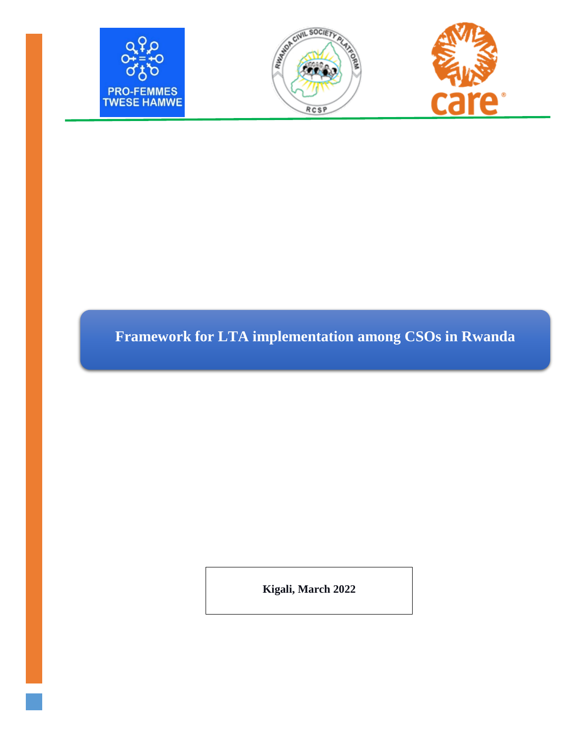





# **Framework for LTA implementation among CSOs in Rwanda**

**Kigali, March 2022**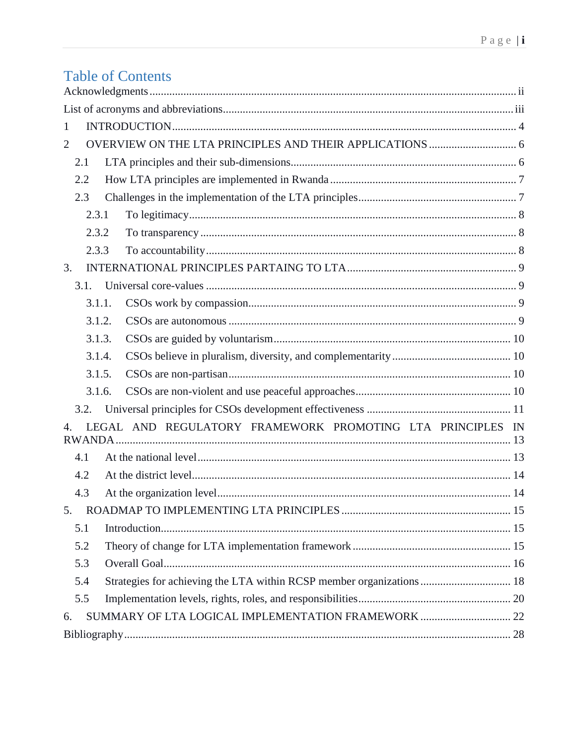# **Table of Contents**

| 1                                                                           |  |
|-----------------------------------------------------------------------------|--|
| $\overline{2}$                                                              |  |
| 2.1                                                                         |  |
| 2.2                                                                         |  |
| 2.3                                                                         |  |
| 2.3.1                                                                       |  |
| 2.3.2                                                                       |  |
| 2.3.3                                                                       |  |
| 3.                                                                          |  |
| 3.1.                                                                        |  |
| 3.1.1.                                                                      |  |
| 3.1.2.                                                                      |  |
| 3.1.3.                                                                      |  |
| 3.1.4.                                                                      |  |
| 3.1.5.                                                                      |  |
| 3.1.6.                                                                      |  |
| 3.2.                                                                        |  |
| LEGAL AND REGULATORY FRAMEWORK PROMOTING LTA PRINCIPLES IN<br>4.            |  |
| 4.1                                                                         |  |
| 4.2                                                                         |  |
| 4.3                                                                         |  |
| 5.                                                                          |  |
| 5.1                                                                         |  |
| 5.2                                                                         |  |
| 5.3                                                                         |  |
| Strategies for achieving the LTA within RCSP member organizations 18<br>5.4 |  |
| 5.5                                                                         |  |
| SUMMARY OF LTA LOGICAL IMPLEMENTATION FRAMEWORK  22<br>6.                   |  |
|                                                                             |  |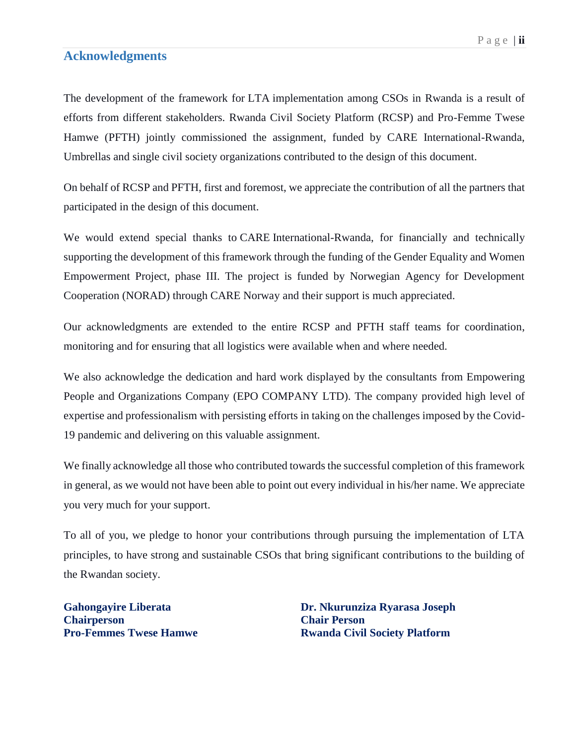#### <span id="page-2-0"></span>**Acknowledgments**

The development of the framework for LTA implementation among CSOs in Rwanda is a result of efforts from different stakeholders. Rwanda Civil Society Platform (RCSP) and Pro-Femme Twese Hamwe (PFTH) jointly commissioned the assignment, funded by CARE International-Rwanda, Umbrellas and single civil society organizations contributed to the design of this document.

On behalf of RCSP and PFTH, first and foremost, we appreciate the contribution of all the partners that participated in the design of this document.

We would extend special thanks to CARE International-Rwanda, for financially and technically supporting the development of this framework through the funding of the Gender Equality and Women Empowerment Project, phase III. The project is funded by Norwegian Agency for Development Cooperation (NORAD) through CARE Norway and their support is much appreciated.

Our acknowledgments are extended to the entire RCSP and PFTH staff teams for coordination, monitoring and for ensuring that all logistics were available when and where needed.

We also acknowledge the dedication and hard work displayed by the consultants from Empowering People and Organizations Company (EPO COMPANY LTD). The company provided high level of expertise and professionalism with persisting efforts in taking on the challenges imposed by the Covid-19 pandemic and delivering on this valuable assignment.

We finally acknowledge all those who contributed towards the successful completion of this framework in general, as we would not have been able to point out every individual in his/her name. We appreciate you very much for your support.

To all of you, we pledge to honor your contributions through pursuing the implementation of LTA principles, to have strong and sustainable CSOs that bring significant contributions to the building of the Rwandan society.

**Chairperson Chair Person**

**Gahongayire Liberata Dr. Nkurunziza Ryarasa Joseph Pro-Femmes Twese Hamwe Rwanda Civil Society Platform**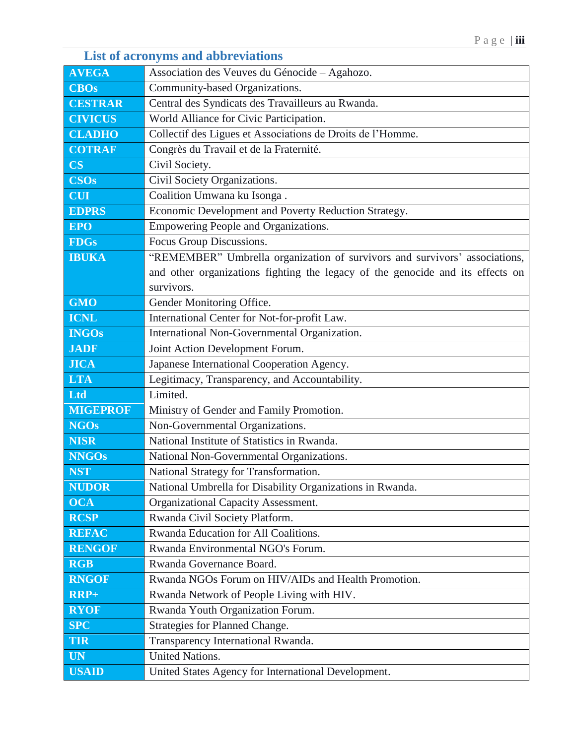## <span id="page-3-0"></span>**AVEGA** Association des Veuves du Génocide – Agahozo. **CBOs** Community-based Organizations. **CESTRAR** Central des Syndicats des Travailleurs au Rwanda. **CIVICUS** World Alliance for Civic Participation. **CLADHO** Collectif des Ligues et Associations de Droits de l'Homme. **COTRAF** Congrès du Travail et de la Fraternité. **CS** Civil Society. **CSOs** Civil Society Organizations. **CUI** Coalition Umwana ku Isonga . **EDPRS** Economic Development and Poverty Reduction Strategy. **EPO** Empowering People and Organizations. **FDGs** Focus Group Discussions. **IBUKA** "REMEMBER" Umbrella organization of survivors and survivors' associations, and other organizations fighting the legacy of the genocide and its effects on survivors. **GMO** Gender Monitoring Office. **ICNL** International Center for Not-for-profit Law. **INGOs** International Non-Governmental Organization. **JADF** Joint Action Development Forum. **JICA** Japanese International Cooperation Agency. **LTA** Legitimacy, Transparency, and Accountability. Ltd<sub>b</sub> Limited. **MIGEPROF** Ministry of Gender and Family Promotion. **NGOs** Non-Governmental Organizations. **NISR National Institute of Statistics in Rwanda. NNGOs** National Non-Governmental Organizations. **NST** National Strategy for Transformation. **NUDOR** National Umbrella for Disability Organizations in Rwanda. **OCA** Organizational Capacity Assessment. **RCSP** Rwanda Civil Society Platform. **REFAC** Rwanda Education for All Coalitions. **RENGOF** Rwanda Environmental NGO's Forum. **RGB** Rwanda Governance Board. **RNGOF** Rwanda NGOs Forum on HIV/AIDs and Health Promotion. **RRP+** Rwanda Network of People Living with HIV. **RYOF** Rwanda Youth Organization Forum. **SPC** Strategies for Planned Change. **TIR** Transparency International Rwanda. **UN** United Nations. **USAID** United States Agency for International Development.

#### **List of acronyms and abbreviations**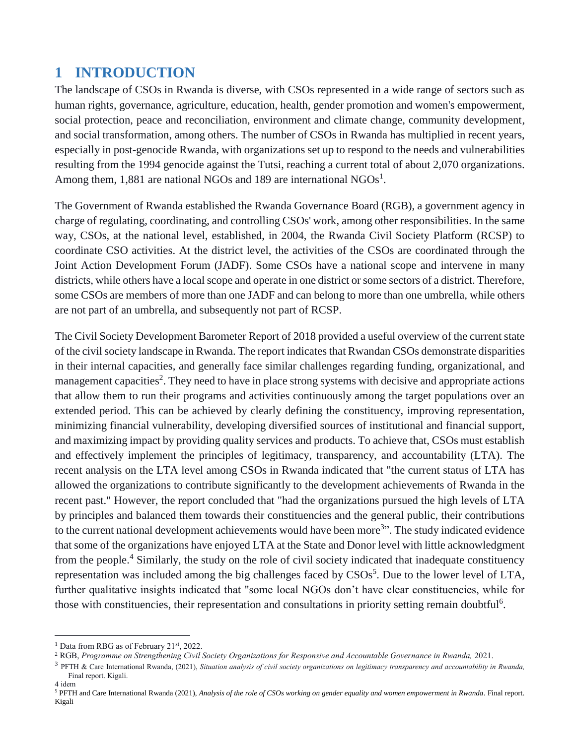## <span id="page-4-0"></span>**1 INTRODUCTION**

The landscape of CSOs in Rwanda is diverse, with CSOs represented in a wide range of sectors such as human rights, governance, agriculture, education, health, gender promotion and women's empowerment, social protection, peace and reconciliation, environment and climate change, community development, and social transformation, among others. The number of CSOs in Rwanda has multiplied in recent years, especially in post-genocide Rwanda, with organizations set up to respond to the needs and vulnerabilities resulting from the 1994 genocide against the Tutsi, reaching a current total of about 2,070 organizations. Among them,  $1,881$  are national NGOs and 189 are international NGOs<sup>1</sup>.

The Government of Rwanda established the Rwanda Governance Board (RGB), a government agency in charge of regulating, coordinating, and controlling CSOs' work, among other responsibilities. In the same way, CSOs, at the national level, established, in 2004, the Rwanda Civil Society Platform (RCSP) to coordinate CSO activities. At the district level, the activities of the CSOs are coordinated through the Joint Action Development Forum (JADF). Some CSOs have a national scope and intervene in many districts, while others have a local scope and operate in one district or some sectors of a district. Therefore, some CSOs are members of more than one JADF and can belong to more than one umbrella, while others are not part of an umbrella, and subsequently not part of RCSP.

The Civil Society Development Barometer Report of 2018 provided a useful overview of the current state of the civil society landscape in Rwanda. The report indicates that Rwandan CSOs demonstrate disparities in their internal capacities, and generally face similar challenges regarding funding, organizational, and management capacities<sup>2</sup>. They need to have in place strong systems with decisive and appropriate actions that allow them to run their programs and activities continuously among the target populations over an extended period. This can be achieved by clearly defining the constituency, improving representation, minimizing financial vulnerability, developing diversified sources of institutional and financial support, and maximizing impact by providing quality services and products. To achieve that, CSOs must establish and effectively implement the principles of legitimacy, transparency, and accountability (LTA). The recent analysis on the LTA level among CSOs in Rwanda indicated that "the current status of LTA has allowed the organizations to contribute significantly to the development achievements of Rwanda in the recent past." However, the report concluded that "had the organizations pursued the high levels of LTA by principles and balanced them towards their constituencies and the general public, their contributions to the current national development achievements would have been more<sup>3</sup>". The study indicated evidence that some of the organizations have enjoyed LTA at the State and Donor level with little acknowledgment from the people.<sup>4</sup> Similarly, the study on the role of civil society indicated that inadequate constituency representation was included among the big challenges faced by  $CSOs<sup>5</sup>$ . Due to the lower level of LTA, further qualitative insights indicated that "some local NGOs don't have clear constituencies, while for those with constituencies, their representation and consultations in priority setting remain doubtful<sup>6</sup>.

 $\overline{a}$ 

<sup>&</sup>lt;sup>1</sup> Data from RBG as of February 21<sup>st</sup>, 2022.

<sup>2</sup> RGB, *Programme on Strengthening Civil Society Organizations for Responsive and Accountable Governance in Rwanda,* 2021.

<sup>3</sup> PFTH & Care International Rwanda, (2021), *Situation analysis of civil society organizations on legitimacy transparency and accountability in Rwanda,* Final report. Kigali. 4 idem

<sup>5</sup> PFTH and Care International Rwanda (2021), *Analysis of the role of CSOs working on gender equality and women empowerment in Rwanda*. Final report. Kigali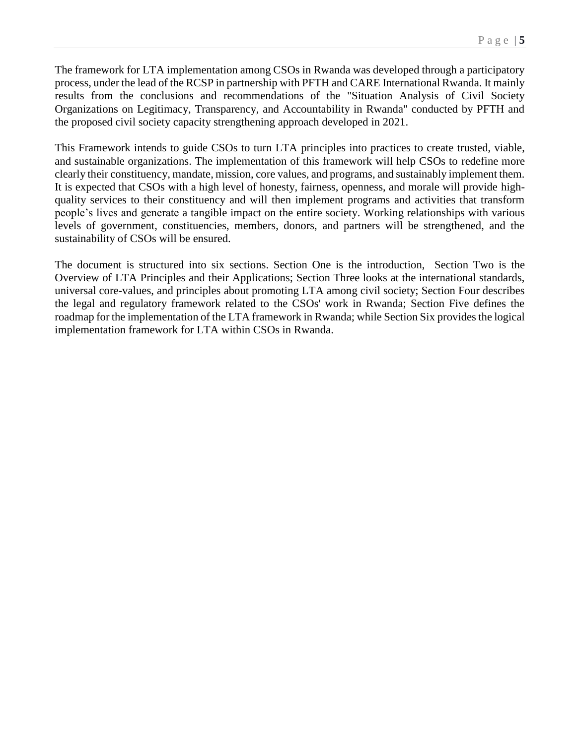The framework for LTA implementation among CSOs in Rwanda was developed through a participatory process, under the lead of the RCSP in partnership with PFTH and CARE International Rwanda. It mainly results from the conclusions and recommendations of the "Situation Analysis of Civil Society Organizations on Legitimacy, Transparency, and Accountability in Rwanda" conducted by PFTH and the proposed civil society capacity strengthening approach developed in 2021.

This Framework intends to guide CSOs to turn LTA principles into practices to create trusted, viable, and sustainable organizations. The implementation of this framework will help CSOs to redefine more clearly their constituency, mandate, mission, core values, and programs, and sustainably implement them. It is expected that CSOs with a high level of honesty, fairness, openness, and morale will provide highquality services to their constituency and will then implement programs and activities that transform people's lives and generate a tangible impact on the entire society. Working relationships with various levels of government, constituencies, members, donors, and partners will be strengthened, and the sustainability of CSOs will be ensured.

The document is structured into six sections. Section One is the introduction, Section Two is the Overview of LTA Principles and their Applications; Section Three looks at the international standards, universal core-values, and principles about promoting LTA among civil society; Section Four describes the legal and regulatory framework related to the CSOs' work in Rwanda; Section Five defines the roadmap for the implementation of the LTA framework in Rwanda; while Section Six provides the logical implementation framework for LTA within CSOs in Rwanda.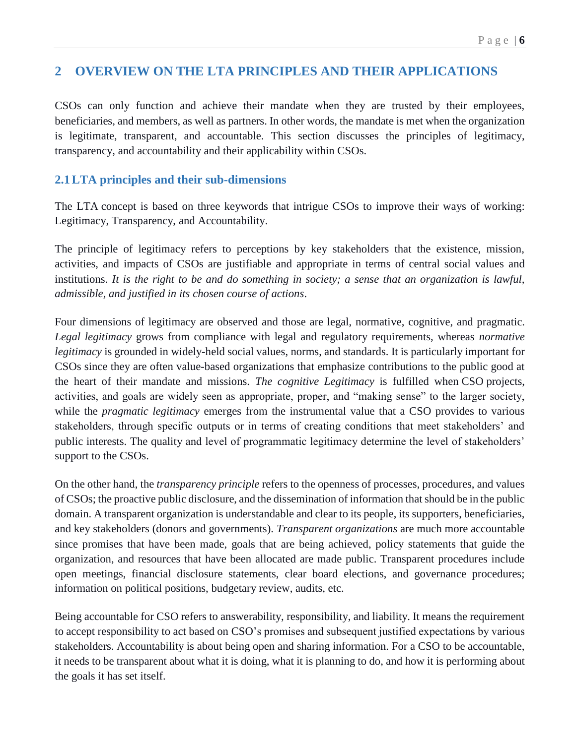## <span id="page-6-0"></span>**2 OVERVIEW ON THE LTA PRINCIPLES AND THEIR APPLICATIONS**

CSOs can only function and achieve their mandate when they are trusted by their employees, beneficiaries, and members, as well as partners. In other words, the mandate is met when the organization is legitimate, transparent, and accountable. This section discusses the principles of legitimacy, transparency, and accountability and their applicability within CSOs.

#### <span id="page-6-1"></span>**2.1LTA principles and their sub-dimensions**

The LTA concept is based on three keywords that intrigue CSOs to improve their ways of working: Legitimacy, Transparency, and Accountability.

The principle of legitimacy refers to perceptions by key stakeholders that the existence, mission, activities, and impacts of CSOs are justifiable and appropriate in terms of central social values and institutions. *It is the right to be and do something in society; a sense that an organization is lawful, admissible, and justified in its chosen course of actions*.

Four dimensions of legitimacy are observed and those are legal, normative, cognitive, and pragmatic. *Legal legitimacy* grows from compliance with legal and regulatory requirements, whereas *normative legitimacy* is grounded in widely-held social values, norms, and standards. It is particularly important for CSOs since they are often value-based organizations that emphasize contributions to the public good at the heart of their mandate and missions. *The cognitive Legitimacy* is fulfilled when CSO projects, activities, and goals are widely seen as appropriate, proper, and "making sense" to the larger society, while the *pragmatic legitimacy* emerges from the instrumental value that a CSO provides to various stakeholders, through specific outputs or in terms of creating conditions that meet stakeholders' and public interests. The quality and level of programmatic legitimacy determine the level of stakeholders' support to the CSOs.

On the other hand, the *transparency principle* refers to the openness of processes, procedures, and values of CSOs; the proactive public disclosure, and the dissemination of information that should be in the public domain. A transparent organization is understandable and clear to its people, its supporters, beneficiaries, and key stakeholders (donors and governments). *Transparent organizations* are much more accountable since promises that have been made, goals that are being achieved, policy statements that guide the organization, and resources that have been allocated are made public. Transparent procedures include open meetings, financial disclosure statements, clear board elections, and governance procedures; information on political positions, budgetary review, audits, etc.

Being accountable for CSO refers to answerability, responsibility, and liability. It means the requirement to accept responsibility to act based on CSO's promises and subsequent justified expectations by various stakeholders. Accountability is about being open and sharing information. For a CSO to be accountable, it needs to be transparent about what it is doing, what it is planning to do, and how it is performing about the goals it has set itself.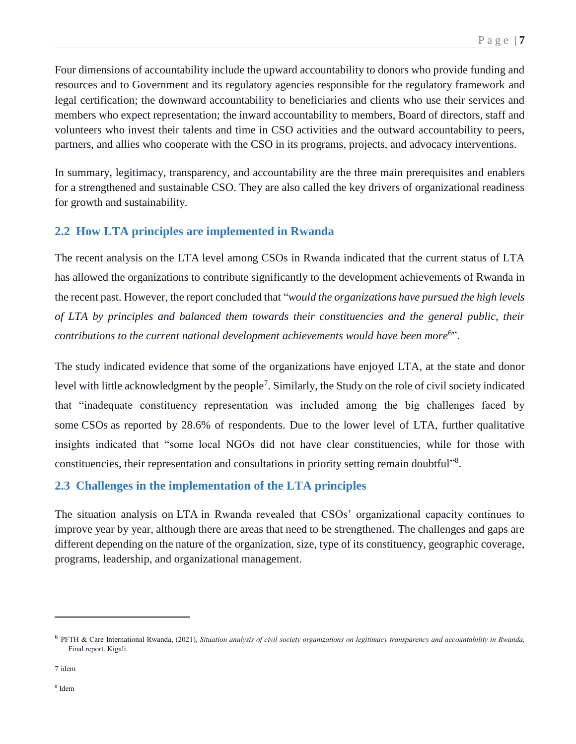Four dimensions of accountability include the upward accountability to donors who provide funding and resources and to Government and its regulatory agencies responsible for the regulatory framework and legal certification; the downward accountability to beneficiaries and clients who use their services and members who expect representation; the inward accountability to members, Board of directors, staff and volunteers who invest their talents and time in CSO activities and the outward accountability to peers, partners, and allies who cooperate with the CSO in its programs, projects, and advocacy interventions.

In summary, legitimacy, transparency, and accountability are the three main prerequisites and enablers for a strengthened and sustainable CSO. They are also called the key drivers of organizational readiness for growth and sustainability.

## <span id="page-7-0"></span>**2.2 How LTA principles are implemented in Rwanda**

The recent analysis on the LTA level among CSOs in Rwanda indicated that the current status of LTA has allowed the organizations to contribute significantly to the development achievements of Rwanda in the recent past. However, the report concluded that "*would the organizations have pursued the high levels of LTA by principles and balanced them towards their constituencies and the general public, their*  contributions to the current national development achievements would have been more<sup>6</sup>".

The study indicated evidence that some of the organizations have enjoyed LTA, at the state and donor level with little acknowledgment by the people<sup>7</sup>. Similarly, the Study on the role of civil society indicated that "inadequate constituency representation was included among the big challenges faced by some CSOs as reported by 28.6% of respondents. Due to the lower level of LTA, further qualitative insights indicated that "some local NGOs did not have clear constituencies, while for those with constituencies, their representation and consultations in priority setting remain doubtful"<sup>8</sup>.

#### <span id="page-7-1"></span>**2.3 Challenges in the implementation of the LTA principles**

The situation analysis on LTA in Rwanda revealed that CSOs' organizational capacity continues to improve year by year, although there are areas that need to be strengthened. The challenges and gaps are different depending on the nature of the organization, size, type of its constituency, geographic coverage, programs, leadership, and organizational management.

 $\overline{a}$ 

<sup>6</sup> PFTH & Care International Rwanda, (2021), *Situation analysis of civil society organizations on legitimacy transparency and accountability in Rwanda,* Final report. Kigali.

<sup>7</sup> idem

<sup>8</sup> Idem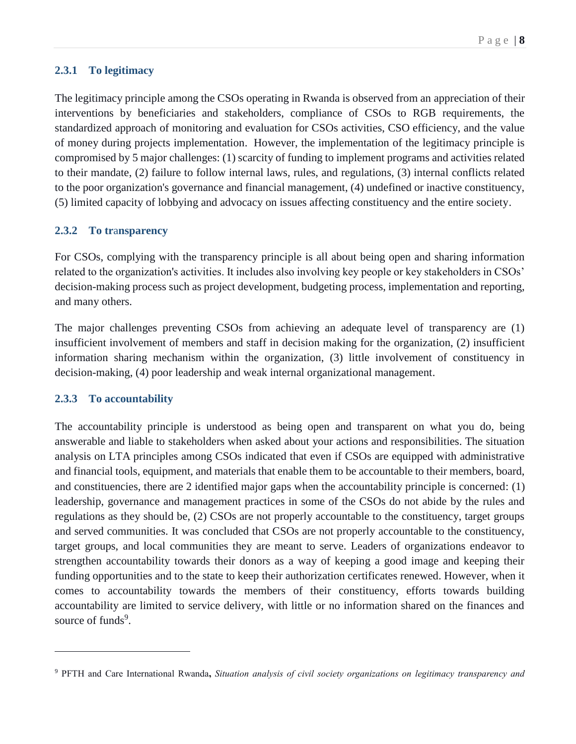#### <span id="page-8-0"></span>**2.3.1 To legitimacy**

The legitimacy principle among the CSOs operating in Rwanda is observed from an appreciation of their interventions by beneficiaries and stakeholders, compliance of CSOs to RGB requirements, the standardized approach of monitoring and evaluation for CSOs activities, CSO efficiency, and the value of money during projects implementation. However, the implementation of the legitimacy principle is compromised by 5 major challenges: (1) scarcity of funding to implement programs and activities related to their mandate, (2) failure to follow internal laws, rules, and regulations, (3) internal conflicts related to the poor organization's governance and financial management, (4) undefined or inactive constituency, (5) limited capacity of lobbying and advocacy on issues affecting constituency and the entire society.

#### <span id="page-8-1"></span>**2.3.2 To tr**a**nsparency**

For CSOs, complying with the transparency principle is all about being open and sharing information related to the organization's activities. It includes also involving key people or key stakeholders in CSOs' decision-making process such as project development, budgeting process, implementation and reporting, and many others.

The major challenges preventing CSOs from achieving an adequate level of transparency are (1) insufficient involvement of members and staff in decision making for the organization, (2) insufficient information sharing mechanism within the organization, (3) little involvement of constituency in decision-making, (4) poor leadership and weak internal organizational management.

#### <span id="page-8-2"></span>**2.3.3 To accountability**

 $\overline{a}$ 

The accountability principle is understood as being open and transparent on what you do, being answerable and liable to stakeholders when asked about your actions and responsibilities. The situation analysis on LTA principles among CSOs indicated that even if CSOs are equipped with administrative and financial tools, equipment, and materials that enable them to be accountable to their members, board, and constituencies, there are 2 identified major gaps when the accountability principle is concerned: (1) leadership, governance and management practices in some of the CSOs do not abide by the rules and regulations as they should be, (2) CSOs are not properly accountable to the constituency, target groups and served communities. It was concluded that CSOs are not properly accountable to the constituency, target groups, and local communities they are meant to serve. Leaders of organizations endeavor to strengthen accountability towards their donors as a way of keeping a good image and keeping their funding opportunities and to the state to keep their authorization certificates renewed. However, when it comes to accountability towards the members of their constituency, efforts towards building accountability are limited to service delivery, with little or no information shared on the finances and source of funds<sup>9</sup>.

<sup>9</sup> PFTH and Care International Rwanda**,** *Situation analysis of civil society organizations on legitimacy transparency and*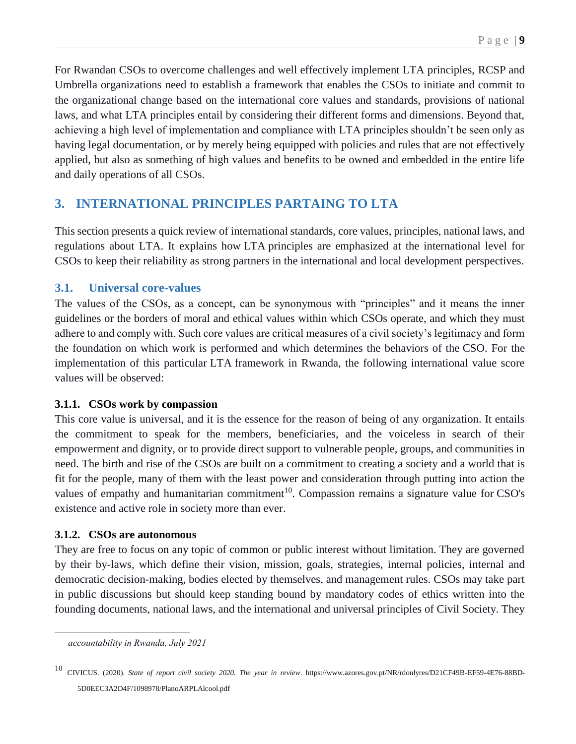For Rwandan CSOs to overcome challenges and well effectively implement LTA principles, RCSP and Umbrella organizations need to establish a framework that enables the CSOs to initiate and commit to the organizational change based on the international core values and standards, provisions of national laws, and what LTA principles entail by considering their different forms and dimensions. Beyond that, achieving a high level of implementation and compliance with LTA principles shouldn't be seen only as having legal documentation, or by merely being equipped with policies and rules that are not effectively applied, but also as something of high values and benefits to be owned and embedded in the entire life and daily operations of all CSOs.

## <span id="page-9-0"></span>**3. INTERNATIONAL PRINCIPLES PARTAING TO LTA**

This section presents a quick review of international standards, core values, principles, national laws, and regulations about LTA. It explains how LTA principles are emphasized at the international level for CSOs to keep their reliability as strong partners in the international and local development perspectives.

#### <span id="page-9-1"></span>**3.1. Universal core-values**

The values of the CSOs, as a concept, can be synonymous with "principles" and it means the inner guidelines or the borders of moral and ethical values within which CSOs operate, and which they must adhere to and comply with. Such core values are critical measures of a civil society's legitimacy and form the foundation on which work is performed and which determines the behaviors of the CSO. For the implementation of this particular LTA framework in Rwanda, the following international value score values will be observed:

#### <span id="page-9-2"></span>**3.1.1. CSOs work by compassion**

This core value is universal, and it is the essence for the reason of being of any organization. It entails the commitment to speak for the members, beneficiaries, and the voiceless in search of their empowerment and dignity, or to provide direct support to vulnerable people, groups, and communities in need. The birth and rise of the CSOs are built on a commitment to creating a society and a world that is fit for the people, many of them with the least power and consideration through putting into action the values of empathy and humanitarian commitment<sup>10</sup>. Compassion remains a signature value for CSO's existence and active role in society more than ever.

#### <span id="page-9-3"></span>**3.1.2. CSOs are autonomous**

They are free to focus on any topic of common or public interest without limitation. They are governed by their by-laws, which define their vision, mission, goals, strategies, internal policies, internal and democratic decision-making, bodies elected by themselves, and management rules. CSOs may take part in public discussions but should keep standing bound by mandatory codes of ethics written into the founding documents, national laws, and the international and universal principles of Civil Society. They

 $\overline{a}$ 

*accountability in Rwanda, July 2021*

<sup>10</sup> CIVICUS. (2020). *State of report civil society 2020. The year in review*. https://www.azores.gov.pt/NR/rdonlyres/D21CF49B-EF59-4E76-88BD-5D0EEC3A2D4F/1098978/PlanoARPLAlcool.pdf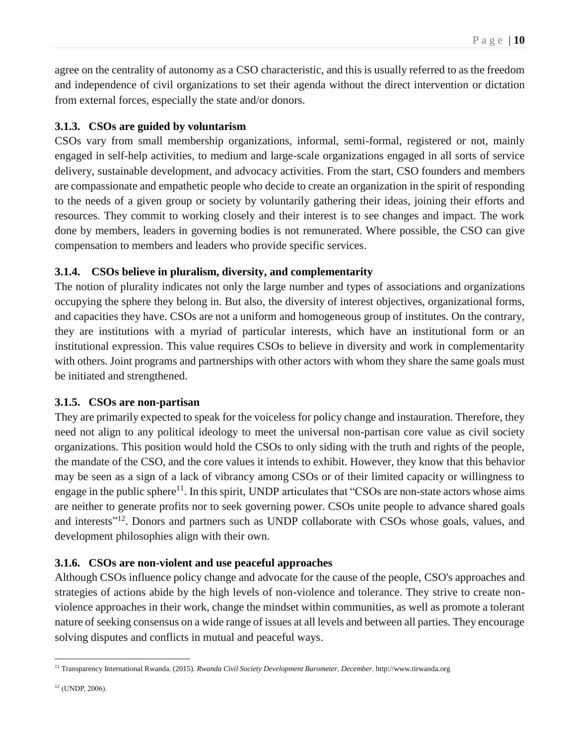agree on the centrality of autonomy as a CSO characteristic, and this is usually referred to as the freedom and independence of civil organizations to set their agenda without the direct intervention or dictation from external forces, especially the state and/or donors.

#### <span id="page-10-0"></span>**3.1.3. CSOs are guided by voluntarism**

CSOs vary from small membership organizations, informal, semi-formal, registered or not, mainly engaged in self-help activities, to medium and large-scale organizations engaged in all sorts of service delivery, sustainable development, and advocacy activities. From the start, CSO founders and members are compassionate and empathetic people who decide to create an organization in the spirit of responding to the needs of a given group or society by voluntarily gathering their ideas, joining their efforts and resources. They commit to working closely and their interest is to see changes and impact. The work done by members, leaders in governing bodies is not remunerated. Where possible, the CSO can give compensation to members and leaders who provide specific services.

#### <span id="page-10-1"></span>**3.1.4. CSOs believe in pluralism, diversity, and complementarity**

The notion of plurality indicates not only the large number and types of associations and organizations occupying the sphere they belong in. But also, the diversity of interest objectives, organizational forms, and capacities they have. CSOs are not a uniform and homogeneous group of institutes. On the contrary, they are institutions with a myriad of particular interests, which have an institutional form or an institutional expression. This value requires CSOs to believe in diversity and work in complementarity with others. Joint programs and partnerships with other actors with whom they share the same goals must be initiated and strengthened.

#### <span id="page-10-2"></span>**3.1.5. CSOs are non-partisan**

They are primarily expected to speak for the voiceless for policy change and instauration. Therefore, they need not align to any political ideology to meet the universal non-partisan core value as civil society organizations. This position would hold the CSOs to only siding with the truth and rights of the people, the mandate of the CSO, and the core values it intends to exhibit. However, they know that this behavior may be seen as a sign of a lack of vibrancy among CSOs or of their limited capacity or willingness to engage in the public sphere<sup>11</sup>. In this spirit, UNDP articulates that "CSOs are non-state actors whose aims are neither to generate profits nor to seek governing power. CSOs unite people to advance shared goals and interests"<sup>12</sup>. Donors and partners such as UNDP collaborate with CSOs whose goals, values, and development philosophies align with their own.

#### <span id="page-10-3"></span>**3.1.6. CSOs are non-violent and use peaceful approaches**

Although CSOs influence policy change and advocate for the cause of the people, CSO's approaches and strategies of actions abide by the high levels of non-violence and tolerance. They strive to create nonviolence approaches in their work, change the mindset within communities, as well as promote a tolerant nature of seeking consensus on a wide range of issues at all levels and between all parties. They encourage solving disputes and conflicts in mutual and peaceful ways.

 $\overline{a}$ <sup>11</sup> Transparency International Rwanda. (2015). *Rwanda Civil Society Development Barometer*. *December*. http://www.tirwanda.org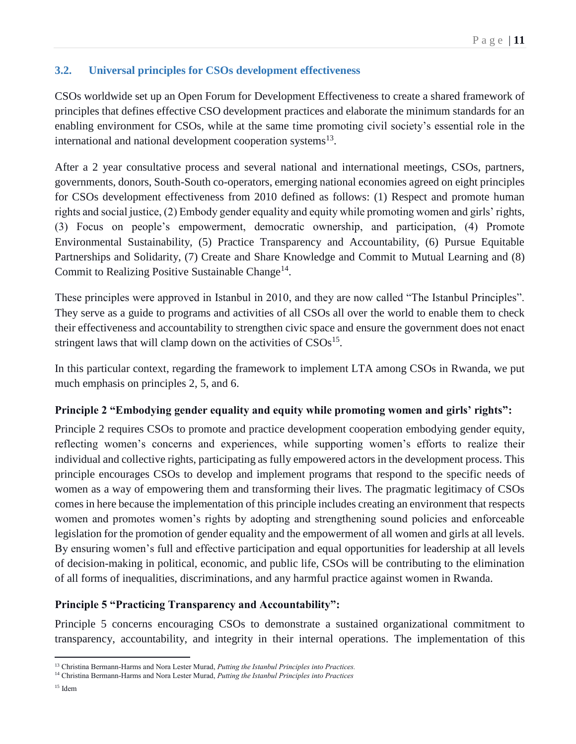#### <span id="page-11-0"></span>**3.2. Universal principles for CSOs development effectiveness**

CSOs worldwide set up an Open Forum for Development Effectiveness to create a shared framework of principles that defines effective CSO development practices and elaborate the minimum standards for an enabling environment for CSOs, while at the same time promoting civil society's essential role in the international and national development cooperation systems $<sup>13</sup>$ .</sup>

After a 2 year consultative process and several national and international meetings, CSOs, partners, governments, donors, South-South co-operators, emerging national economies agreed on eight principles for CSOs development effectiveness from 2010 defined as follows: (1) Respect and promote human rights and social justice, (2) Embody gender equality and equity while promoting women and girls' rights, (3) Focus on people's empowerment, democratic ownership, and participation, (4) Promote Environmental Sustainability, (5) Practice Transparency and Accountability, (6) Pursue Equitable Partnerships and Solidarity, (7) Create and Share Knowledge and Commit to Mutual Learning and (8) Commit to Realizing Positive Sustainable Change<sup>14</sup>.

These principles were approved in Istanbul in 2010, and they are now called "The Istanbul Principles". They serve as a guide to programs and activities of all CSOs all over the world to enable them to check their effectiveness and accountability to strengthen civic space and ensure the government does not enact stringent laws that will clamp down on the activities of  $CSOs<sup>15</sup>$ .

In this particular context, regarding the framework to implement LTA among CSOs in Rwanda, we put much emphasis on principles 2, 5, and 6.

#### **Principle 2 "Embodying gender equality and equity while promoting women and girls' rights":**

Principle 2 requires CSOs to promote and practice development cooperation embodying gender equity, reflecting women's concerns and experiences, while supporting women's efforts to realize their individual and collective rights, participating as fully empowered actors in the development process. This principle encourages CSOs to develop and implement programs that respond to the specific needs of women as a way of empowering them and transforming their lives. The pragmatic legitimacy of CSOs comes in here because the implementation of this principle includes creating an environment that respects women and promotes women's rights by adopting and strengthening sound policies and enforceable legislation for the promotion of gender equality and the empowerment of all women and girls at all levels. By ensuring women's full and effective participation and equal opportunities for leadership at all levels of decision-making in political, economic, and public life, CSOs will be contributing to the elimination of all forms of inequalities, discriminations, and any harmful practice against women in Rwanda.

#### **Principle 5 "Practicing Transparency and Accountability":**

Principle 5 concerns encouraging CSOs to demonstrate a sustained organizational commitment to transparency, accountability, and integrity in their internal operations. The implementation of this

 $\overline{a}$ <sup>13</sup> Christina Bermann-Harms and Nora Lester Murad, *Putting the Istanbul Principles into Practices.* 

<sup>14</sup> Christina Bermann-Harms and Nora Lester Murad, *Putting the Istanbul Principles into Practices*

<sup>15</sup> Idem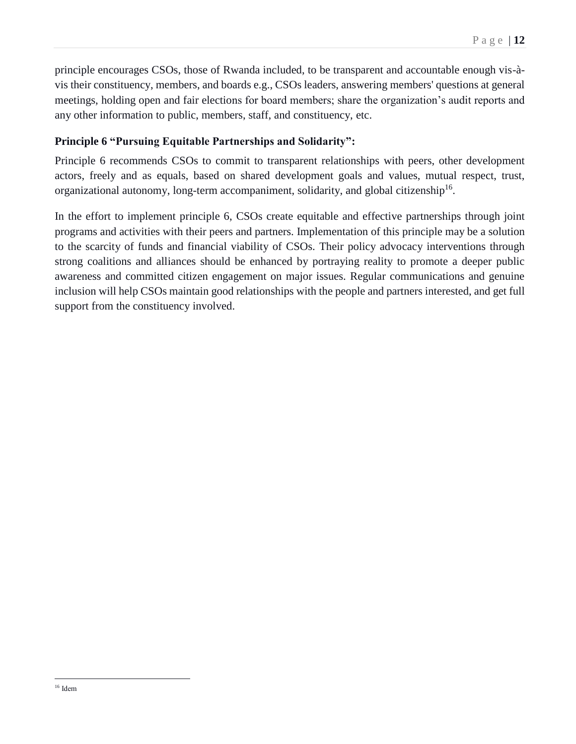principle encourages CSOs, those of Rwanda included, to be transparent and accountable enough vis-àvis their constituency, members, and boards e.g., CSOs leaders, answering members' questions at general meetings, holding open and fair elections for board members; share the organization's audit reports and any other information to public, members, staff, and constituency, etc.

### **Principle 6 "Pursuing Equitable Partnerships and Solidarity":**

Principle 6 recommends CSOs to commit to transparent relationships with peers, other development actors, freely and as equals, based on shared development goals and values, mutual respect, trust, organizational autonomy, long-term accompaniment, solidarity, and global citizenship<sup>16</sup>.

In the effort to implement principle 6, CSOs create equitable and effective partnerships through joint programs and activities with their peers and partners. Implementation of this principle may be a solution to the scarcity of funds and financial viability of CSOs. Their policy advocacy interventions through strong coalitions and alliances should be enhanced by portraying reality to promote a deeper public awareness and committed citizen engagement on major issues. Regular communications and genuine inclusion will help CSOs maintain good relationships with the people and partners interested, and get full support from the constituency involved.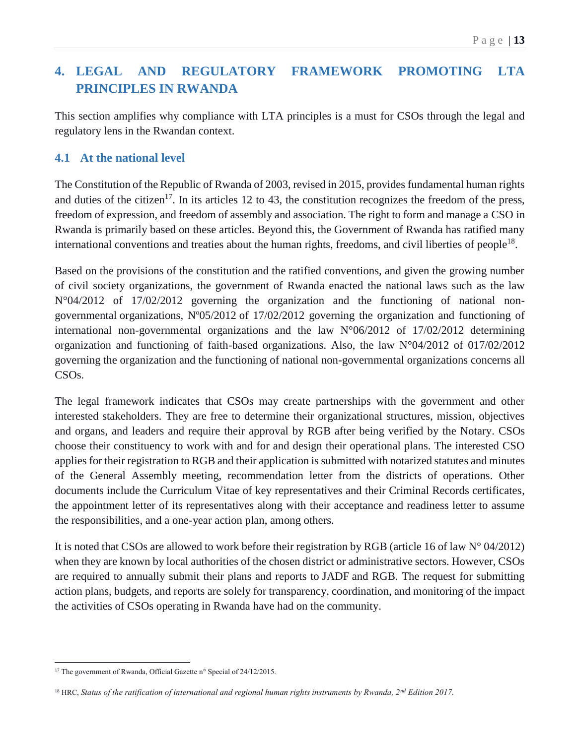## <span id="page-13-0"></span>**4. LEGAL AND REGULATORY FRAMEWORK PROMOTING LTA PRINCIPLES IN RWANDA**

This section amplifies why compliance with LTA principles is a must for CSOs through the legal and regulatory lens in the Rwandan context.

## <span id="page-13-1"></span>**4.1 At the national level**

The Constitution of the Republic of Rwanda of 2003, revised in 2015, provides fundamental human rights and duties of the citizen<sup>17</sup>. In its articles 12 to 43, the constitution recognizes the freedom of the press, freedom of expression, and freedom of assembly and association. The right to form and manage a CSO in Rwanda is primarily based on these articles. Beyond this, the Government of Rwanda has ratified many international conventions and treaties about the human rights, freedoms, and civil liberties of people<sup>18</sup>.

Based on the provisions of the constitution and the ratified conventions, and given the growing number of civil society organizations, the government of Rwanda enacted the national laws such as the law N°04/2012 of 17/02/2012 governing the organization and the functioning of national nongovernmental organizations, Nº05/2012 of 17/02/2012 governing the organization and functioning of international non-governmental organizations and the law N°06/2012 of 17/02/2012 determining organization and functioning of faith-based organizations. Also, the law N°04/2012 of 017/02/2012 governing the organization and the functioning of national non-governmental organizations concerns all CSOs.

The legal framework indicates that CSOs may create partnerships with the government and other interested stakeholders. They are free to determine their organizational structures, mission, objectives and organs, and leaders and require their approval by RGB after being verified by the Notary. CSOs choose their constituency to work with and for and design their operational plans. The interested CSO applies for their registration to RGB and their application is submitted with notarized statutes and minutes of the General Assembly meeting, recommendation letter from the districts of operations. Other documents include the Curriculum Vitae of key representatives and their Criminal Records certificates, the appointment letter of its representatives along with their acceptance and readiness letter to assume the responsibilities, and a one-year action plan, among others.

It is noted that CSOs are allowed to work before their registration by RGB (article 16 of law  $N^{\circ}$  04/2012) when they are known by local authorities of the chosen district or administrative sectors. However, CSOs are required to annually submit their plans and reports to JADF and RGB. The request for submitting action plans, budgets, and reports are solely for transparency, coordination, and monitoring of the impact the activities of CSOs operating in Rwanda have had on the community.

 $\overline{a}$ <sup>17</sup> The government of Rwanda, Official Gazette n° Special of 24/12/2015.

<sup>18</sup> HRC, *Status of the ratification of international and regional human rights instruments by Rwanda, 2nd Edition 2017.*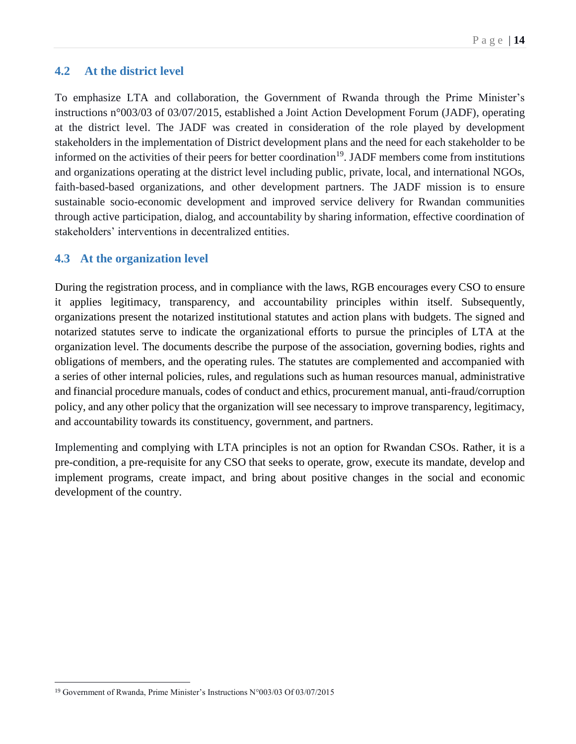#### <span id="page-14-0"></span>**4.2 At the district level**

To emphasize LTA and collaboration, the Government of Rwanda through the Prime Minister's instructions n°003/03 of 03/07/2015, established a Joint Action Development Forum (JADF), operating at the district level. The JADF was created in consideration of the role played by development stakeholders in the implementation of District development plans and the need for each stakeholder to be informed on the activities of their peers for better coordination<sup>19</sup>. JADF members come from institutions and organizations operating at the district level including public, private, local, and international NGOs, faith-based-based organizations, and other development partners. The JADF mission is to ensure sustainable socio-economic development and improved service delivery for Rwandan communities through active participation, dialog, and accountability by sharing information, effective coordination of stakeholders' interventions in decentralized entities.

#### <span id="page-14-1"></span>**4.3 At the organization level**

During the registration process, and in compliance with the laws, RGB encourages every CSO to ensure it applies legitimacy, transparency, and accountability principles within itself. Subsequently, organizations present the notarized institutional statutes and action plans with budgets. The signed and notarized statutes serve to indicate the organizational efforts to pursue the principles of LTA at the organization level. The documents describe the purpose of the association, governing bodies, rights and obligations of members, and the operating rules. The statutes are complemented and accompanied with a series of other internal policies, rules, and regulations such as human resources manual, administrative and financial procedure manuals, codes of conduct and ethics, procurement manual, anti-fraud/corruption policy, and any other policy that the organization will see necessary to improve transparency, legitimacy, and accountability towards its constituency, government, and partners.

Implementing and complying with LTA principles is not an option for Rwandan CSOs. Rather, it is a pre-condition, a pre-requisite for any CSO that seeks to operate, grow, execute its mandate, develop and implement programs, create impact, and bring about positive changes in the social and economic development of the country.

 $\overline{a}$ 

<sup>19</sup> Government of Rwanda, Prime Minister's Instructions N°003/03 Of 03/07/2015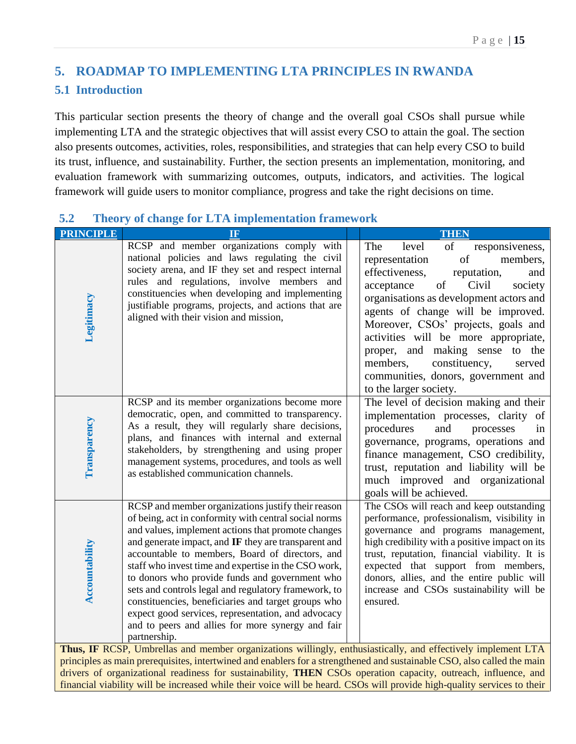## <span id="page-15-0"></span>**5. ROADMAP TO IMPLEMENTING LTA PRINCIPLES IN RWANDA**

## <span id="page-15-1"></span>**5.1 Introduction**

This particular section presents the theory of change and the overall goal CSOs shall pursue while implementing LTA and the strategic objectives that will assist every CSO to attain the goal. The section also presents outcomes, activities, roles, responsibilities, and strategies that can help every CSO to build its trust, influence, and sustainability. Further, the section presents an implementation, monitoring, and evaluation framework with summarizing outcomes, outputs, indicators, and activities. The logical framework will guide users to monitor compliance, progress and take the right decisions on time.

| <b>PRINCIPLE</b>                                                                                             | $\overline{\mathbf{H}}$                                                                                                                                                                                                                                                                                                                                                                                                                                                                                                                                                                                                          |  | <b>THEN</b>                                                                                                                                                                                                                                                                                                                                                                                                                                                          |
|--------------------------------------------------------------------------------------------------------------|----------------------------------------------------------------------------------------------------------------------------------------------------------------------------------------------------------------------------------------------------------------------------------------------------------------------------------------------------------------------------------------------------------------------------------------------------------------------------------------------------------------------------------------------------------------------------------------------------------------------------------|--|----------------------------------------------------------------------------------------------------------------------------------------------------------------------------------------------------------------------------------------------------------------------------------------------------------------------------------------------------------------------------------------------------------------------------------------------------------------------|
| Legitimacy                                                                                                   | RCSP and member organizations comply with<br>national policies and laws regulating the civil<br>society arena, and IF they set and respect internal<br>rules and regulations, involve members and<br>constituencies when developing and implementing<br>justifiable programs, projects, and actions that are<br>aligned with their vision and mission,                                                                                                                                                                                                                                                                           |  | The<br>level<br>of<br>responsiveness,<br>of<br>representation<br>members,<br>effectiveness,<br>reputation,<br>and<br>Civil<br>of<br>acceptance<br>society<br>organisations as development actors and<br>agents of change will be improved.<br>Moreover, CSOs' projects, goals and<br>activities will be more appropriate,<br>proper, and making sense to the<br>members,<br>constituency,<br>served<br>communities, donors, government and<br>to the larger society. |
| Transparency                                                                                                 | RCSP and its member organizations become more<br>democratic, open, and committed to transparency.<br>As a result, they will regularly share decisions,<br>plans, and finances with internal and external<br>stakeholders, by strengthening and using proper<br>management systems, procedures, and tools as well<br>as established communication channels.                                                                                                                                                                                                                                                                       |  | The level of decision making and their<br>implementation processes, clarity of<br>procedures<br>and<br>processes<br>in<br>governance, programs, operations and<br>finance management, CSO credibility,<br>trust, reputation and liability will be<br>much improved and organizational<br>goals will be achieved.                                                                                                                                                     |
| Accountability                                                                                               | RCSP and member organizations justify their reason<br>of being, act in conformity with central social norms<br>and values, implement actions that promote changes<br>and generate impact, and IF they are transparent and<br>accountable to members, Board of directors, and<br>staff who invest time and expertise in the CSO work,<br>to donors who provide funds and government who<br>sets and controls legal and regulatory framework, to<br>constituencies, beneficiaries and target groups who<br>expect good services, representation, and advocacy<br>and to peers and allies for more synergy and fair<br>partnership. |  | The CSOs will reach and keep outstanding<br>performance, professionalism, visibility in<br>governance and programs management,<br>high credibility with a positive impact on its<br>trust, reputation, financial viability. It is<br>expected that support from members,<br>donors, allies, and the entire public will<br>increase and CSOs sustainability will be<br>ensured.                                                                                       |
| Thus, IF RCSP, Umbrellas and member organizations willingly, enthusiastically, and effectively implement LTA |                                                                                                                                                                                                                                                                                                                                                                                                                                                                                                                                                                                                                                  |  |                                                                                                                                                                                                                                                                                                                                                                                                                                                                      |

## <span id="page-15-2"></span>**5.2 Theory of change for LTA implementation framework**

principles as main prerequisites, intertwined and enablers for a strengthened and sustainable CSO, also called the main drivers of organizational readiness for sustainability, **THEN** CSOs operation capacity, outreach, influence, and financial viability will be increased while their voice will be heard. CSOs will provide high-quality services to their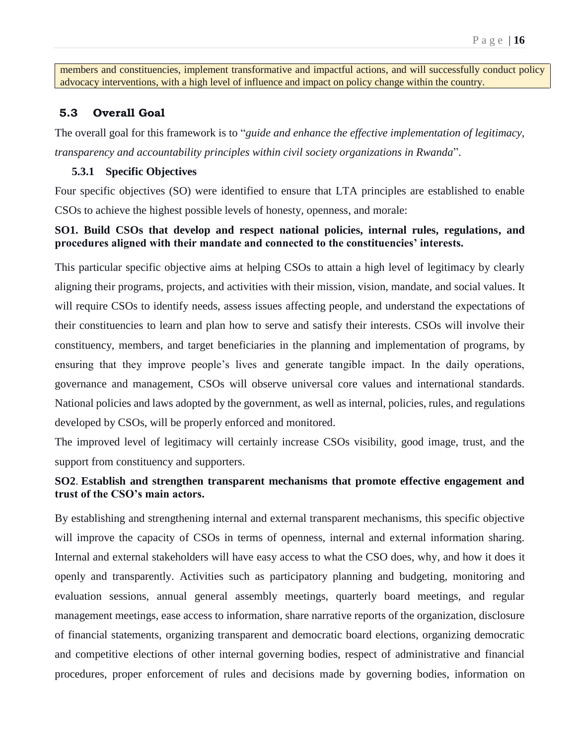members and constituencies, implement transformative and impactful actions, and will successfully conduct policy advocacy interventions, with a high level of influence and impact on policy change within the country.

#### <span id="page-16-0"></span>**5.3 Overall Goal**

The overall goal for this framework is to "*guide and enhance the effective implementation of legitimacy, transparency and accountability principles within civil society organizations in Rwanda*".

#### **5.3.1 Specific Objectives**

Four specific objectives (SO) were identified to ensure that LTA principles are established to enable CSOs to achieve the highest possible levels of honesty, openness, and morale:

#### **SO1. Build CSOs that develop and respect national policies, internal rules, regulations, and procedures aligned with their mandate and connected to the constituencies' interests.**

This particular specific objective aims at helping CSOs to attain a high level of legitimacy by clearly aligning their programs, projects, and activities with their mission, vision, mandate, and social values. It will require CSOs to identify needs, assess issues affecting people, and understand the expectations of their constituencies to learn and plan how to serve and satisfy their interests. CSOs will involve their constituency, members, and target beneficiaries in the planning and implementation of programs, by ensuring that they improve people's lives and generate tangible impact. In the daily operations, governance and management, CSOs will observe universal core values and international standards. National policies and laws adopted by the government, as well as internal, policies, rules, and regulations developed by CSOs, will be properly enforced and monitored.

The improved level of legitimacy will certainly increase CSOs visibility, good image, trust, and the support from constituency and supporters.

#### **SO2**. **Establish and strengthen transparent mechanisms that promote effective engagement and trust of the CSO's main actors.**

By establishing and strengthening internal and external transparent mechanisms, this specific objective will improve the capacity of CSOs in terms of openness, internal and external information sharing. Internal and external stakeholders will have easy access to what the CSO does, why, and how it does it openly and transparently. Activities such as participatory planning and budgeting, monitoring and evaluation sessions, annual general assembly meetings, quarterly board meetings, and regular management meetings, ease access to information, share narrative reports of the organization, disclosure of financial statements, organizing transparent and democratic board elections, organizing democratic and competitive elections of other internal governing bodies, respect of administrative and financial procedures, proper enforcement of rules and decisions made by governing bodies, information on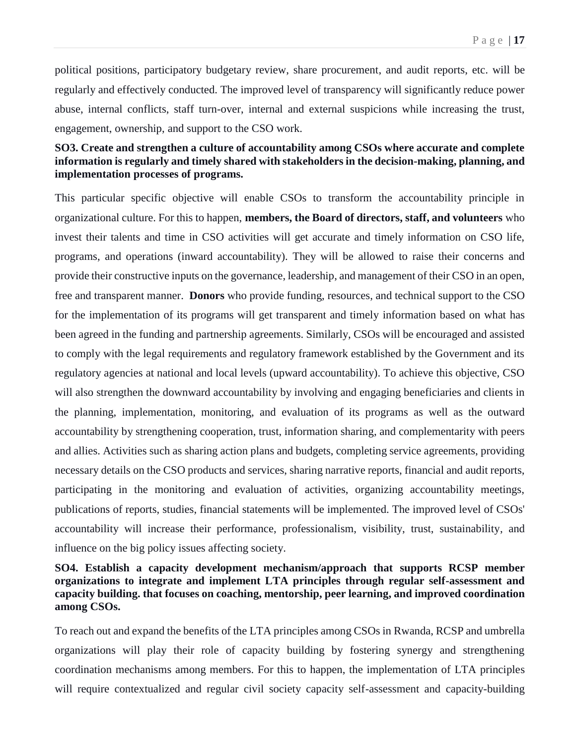political positions, participatory budgetary review, share procurement, and audit reports, etc. will be regularly and effectively conducted. The improved level of transparency will significantly reduce power abuse, internal conflicts, staff turn-over, internal and external suspicions while increasing the trust, engagement, ownership, and support to the CSO work.

#### **SO3. Create and strengthen a culture of accountability among CSOs where accurate and complete information is regularly and timely shared with stakeholders in the decision-making, planning, and implementation processes of programs.**

This particular specific objective will enable CSOs to transform the accountability principle in organizational culture. For this to happen, **members, the Board of directors, staff, and volunteers** who invest their talents and time in CSO activities will get accurate and timely information on CSO life, programs, and operations (inward accountability). They will be allowed to raise their concerns and provide their constructive inputs on the governance, leadership, and management of their CSO in an open, free and transparent manner. **Donors** who provide funding, resources, and technical support to the CSO for the implementation of its programs will get transparent and timely information based on what has been agreed in the funding and partnership agreements. Similarly, CSOs will be encouraged and assisted to comply with the legal requirements and regulatory framework established by the Government and its regulatory agencies at national and local levels (upward accountability). To achieve this objective, CSO will also strengthen the downward accountability by involving and engaging beneficiaries and clients in the planning, implementation, monitoring, and evaluation of its programs as well as the outward accountability by strengthening cooperation, trust, information sharing, and complementarity with peers and allies. Activities such as sharing action plans and budgets, completing service agreements, providing necessary details on the CSO products and services, sharing narrative reports, financial and audit reports, participating in the monitoring and evaluation of activities, organizing accountability meetings, publications of reports, studies, financial statements will be implemented. The improved level of CSOs' accountability will increase their performance, professionalism, visibility, trust, sustainability, and influence on the big policy issues affecting society.

#### **SO4. Establish a capacity development mechanism/approach that supports RCSP member organizations to integrate and implement LTA principles through regular self-assessment and capacity building. that focuses on coaching, mentorship, peer learning, and improved coordination among CSOs.**

To reach out and expand the benefits of the LTA principles among CSOs in Rwanda, RCSP and umbrella organizations will play their role of capacity building by fostering synergy and strengthening coordination mechanisms among members. For this to happen, the implementation of LTA principles will require contextualized and regular civil society capacity self-assessment and capacity-building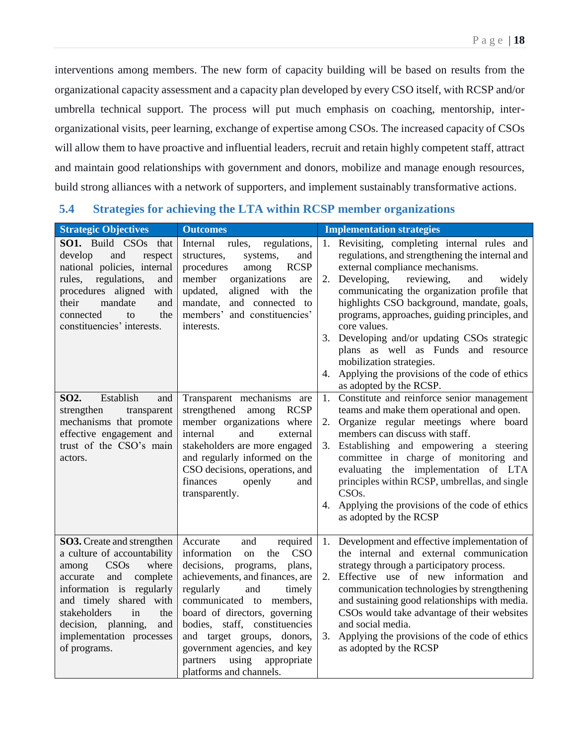interventions among members. The new form of capacity building will be based on results from the organizational capacity assessment and a capacity plan developed by every CSO itself, with RCSP and/or umbrella technical support. The process will put much emphasis on coaching, mentorship, interorganizational visits, peer learning, exchange of expertise among CSOs. The increased capacity of CSOs will allow them to have proactive and influential leaders, recruit and retain highly competent staff, attract and maintain good relationships with government and donors, mobilize and manage enough resources, build strong alliances with a network of supporters, and implement sustainably transformative actions.

## <span id="page-18-0"></span>**5.4 Strategies for achieving the LTA within RCSP member organizations**

| <b>Strategic Objectives</b>                                                                                                                                                                                                                                                            | <b>Outcomes</b>                                                                                                                                                                                                                                                                                                                                                                                           | <b>Implementation strategies</b>                                                                                                                                                                                                                                                                                                                                                                                                                                                                                                                             |
|----------------------------------------------------------------------------------------------------------------------------------------------------------------------------------------------------------------------------------------------------------------------------------------|-----------------------------------------------------------------------------------------------------------------------------------------------------------------------------------------------------------------------------------------------------------------------------------------------------------------------------------------------------------------------------------------------------------|--------------------------------------------------------------------------------------------------------------------------------------------------------------------------------------------------------------------------------------------------------------------------------------------------------------------------------------------------------------------------------------------------------------------------------------------------------------------------------------------------------------------------------------------------------------|
| <b>SO1.</b> Build CSOs<br>that<br>develop<br>and<br>respect<br>national policies, internal<br>regulations,<br>rules,<br>and<br>procedures aligned<br>with<br>their<br>mandate<br>and<br>connected<br>the<br>to<br>constituencies' interests.                                           | Internal<br>regulations,<br>rules,<br>structures,<br>systems,<br>and<br><b>RCSP</b><br>procedures<br>among<br>member<br>organizations<br>are<br>aligned with<br>updated,<br>the<br>and connected to<br>mandate,<br>members' and constituencies'<br>interests.                                                                                                                                             | 1. Revisiting, completing internal rules and<br>regulations, and strengthening the internal and<br>external compliance mechanisms.<br>Developing,<br>reviewing,<br>2.<br>and<br>widely<br>communicating the organization profile that<br>highlights CSO background, mandate, goals,<br>programs, approaches, guiding principles, and<br>core values.<br>Developing and/or updating CSOs strategic<br>3.<br>plans as well as Funds and resource<br>mobilization strategies.<br>Applying the provisions of the code of ethics<br>4.<br>as adopted by the RCSP. |
| Establish<br>SO <sub>2</sub> .<br>and<br>strengthen<br>transparent<br>mechanisms that promote<br>effective engagement and<br>trust of the CSO's main<br>actors.                                                                                                                        | Transparent mechanisms are<br>strengthened among<br><b>RCSP</b><br>member organizations where<br>internal<br>and<br>external<br>stakeholders are more engaged<br>and regularly informed on the<br>CSO decisions, operations, and<br>finances<br>openly<br>and<br>transparently.                                                                                                                           | Constitute and reinforce senior management<br>1.<br>teams and make them operational and open.<br>Organize regular meetings where board<br>2.<br>members can discuss with staff.<br>3. Establishing and empowering a steering<br>committee in charge of monitoring and<br>evaluating the implementation of LTA<br>principles within RCSP, umbrellas, and single<br>CSO <sub>s</sub> .<br>Applying the provisions of the code of ethics<br>4.<br>as adopted by the RCSP                                                                                        |
| <b>SO3.</b> Create and strengthen<br>a culture of accountability<br>CSOs<br>where<br>among<br>complete<br>and<br>accurate<br>information is regularly<br>and timely shared with<br>stakeholders<br>in<br>the<br>decision, planning,<br>and<br>implementation processes<br>of programs. | Accurate<br>and<br>required<br>information<br><b>CSO</b><br>the<br>on<br>decisions,<br>programs,<br>plans,<br>achievements, and finances, are<br>regularly<br>and<br>timely<br>communicated to<br>members,<br>board of directors, governing<br>bodies, staff, constituencies<br>and target groups, donors,<br>government agencies, and key<br>using<br>partners<br>appropriate<br>platforms and channels. | 1. Development and effective implementation of<br>the internal and external communication<br>strategy through a participatory process.<br>Effective use of new information<br>2.<br>and<br>communication technologies by strengthening<br>and sustaining good relationships with media.<br>CSOs would take advantage of their websites<br>and social media.<br>Applying the provisions of the code of ethics<br>3.<br>as adopted by the RCSP                                                                                                                 |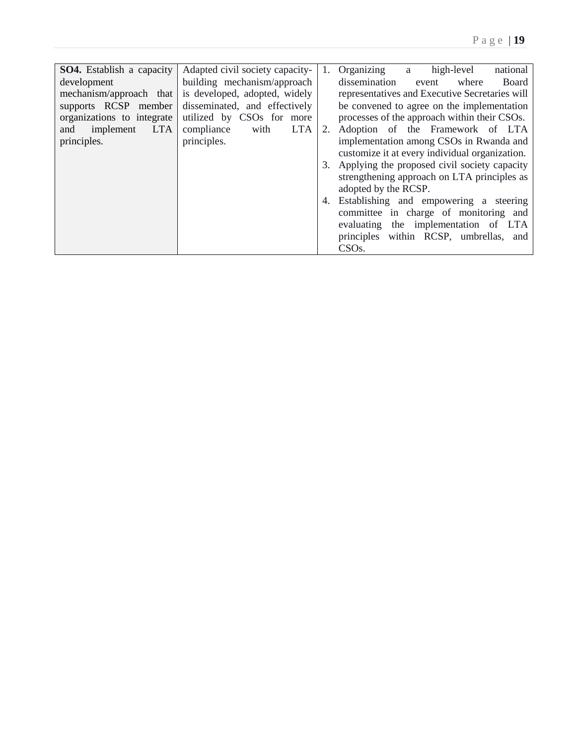| <b>SO4.</b> Establish a capacity | Adapted civil society capacity-  | 1. | Organizing<br>national<br>high-level<br>a      |
|----------------------------------|----------------------------------|----|------------------------------------------------|
| development                      | building mechanism/approach      |    | dissemination<br>where<br>Board<br>event       |
| mechanism/approach that          | is developed, adopted, widely    |    | representatives and Executive Secretaries will |
| supports RCSP member             | disseminated, and effectively    |    | be convened to agree on the implementation     |
| organizations to integrate       | utilized by CSOs for more        |    | processes of the approach within their CSOs.   |
| <b>LTA</b><br>implement<br>and   | compliance<br><b>LTA</b><br>with | 2. | Adoption of the Framework of LTA               |
| principles.                      | principles.                      |    | implementation among CSOs in Rwanda and        |
|                                  |                                  |    | customize it at every individual organization. |
|                                  |                                  | 3. | Applying the proposed civil society capacity   |
|                                  |                                  |    | strengthening approach on LTA principles as    |
|                                  |                                  |    | adopted by the RCSP.                           |
|                                  |                                  | 4. | Establishing and empowering a steering         |
|                                  |                                  |    | committee in charge of monitoring and          |
|                                  |                                  |    | evaluating the implementation of LTA           |
|                                  |                                  |    | principles within RCSP, umbrellas, and         |
|                                  |                                  |    | CSO <sub>s</sub> .                             |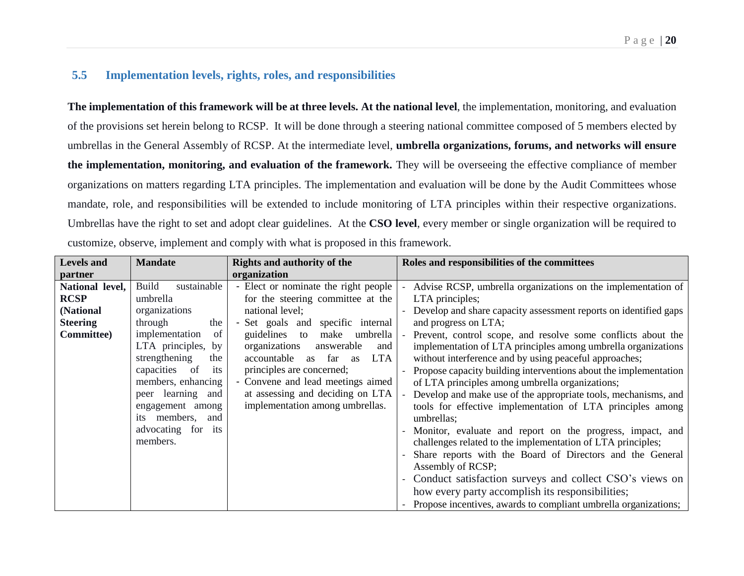#### **5.5 Implementation levels, rights, roles, and responsibilities**

**The implementation of this framework will be at three levels. At the national level**, the implementation, monitoring, and evaluation of the provisions set herein belong to RCSP. It will be done through a steering national committee composed of 5 members elected by umbrellas in the General Assembly of RCSP. At the intermediate level, **umbrella organizations, forums, and networks will ensure the implementation, monitoring, and evaluation of the framework.** They will be overseeing the effective compliance of member organizations on matters regarding LTA principles. The implementation and evaluation will be done by the Audit Committees whose mandate, role, and responsibilities will be extended to include monitoring of LTA principles within their respective organizations. Umbrellas have the right to set and adopt clear guidelines. At the **CSO level**, every member or single organization will be required to customize, observe, implement and comply with what is proposed in this framework.

<span id="page-20-0"></span>

| <b>Levels</b> and  | <b>Mandate</b>              | <b>Rights and authority of the</b>               | Roles and responsibilities of the committees                     |
|--------------------|-----------------------------|--------------------------------------------------|------------------------------------------------------------------|
| partner            |                             | organization                                     |                                                                  |
| National level,    | sustainable<br><b>Build</b> | - Elect or nominate the right people             | Advise RCSP, umbrella organizations on the implementation of     |
| <b>RCSP</b>        | umbrella                    | for the steering committee at the                | LTA principles;                                                  |
| (National          | organizations               | national level;                                  | Develop and share capacity assessment reports on identified gaps |
| <b>Steering</b>    | through<br>the              | - Set goals and specific internal                | and progress on LTA;                                             |
| <b>Committee</b> ) | implementation<br>of        | guidelines<br>make<br>to<br>umbrella             | Prevent, control scope, and resolve some conflicts about the     |
|                    | LTA principles, by          | organizations<br>answerable<br>and               | implementation of LTA principles among umbrella organizations    |
|                    | strengthening<br>the        | accountable<br>as far<br><b>LTA</b><br><b>as</b> | without interference and by using peaceful approaches;           |
|                    | capacities of<br>its        | principles are concerned;                        | Propose capacity building interventions about the implementation |
|                    | members, enhancing          | - Convene and lead meetings aimed                | of LTA principles among umbrella organizations;                  |
|                    | peer learning and           | at assessing and deciding on LTA                 | Develop and make use of the appropriate tools, mechanisms, and   |
|                    | engagement among            | implementation among umbrellas.                  | tools for effective implementation of LTA principles among       |
|                    | its members,<br>and         |                                                  | umbrellas:                                                       |
|                    | advocating for its          |                                                  | Monitor, evaluate and report on the progress, impact, and        |
|                    | members.                    |                                                  | challenges related to the implementation of LTA principles;      |
|                    |                             |                                                  | Share reports with the Board of Directors and the General        |
|                    |                             |                                                  | Assembly of RCSP;                                                |
|                    |                             |                                                  | Conduct satisfaction surveys and collect CSO's views on          |
|                    |                             |                                                  | how every party accomplish its responsibilities;                 |
|                    |                             |                                                  | Propose incentives, awards to compliant umbrella organizations;  |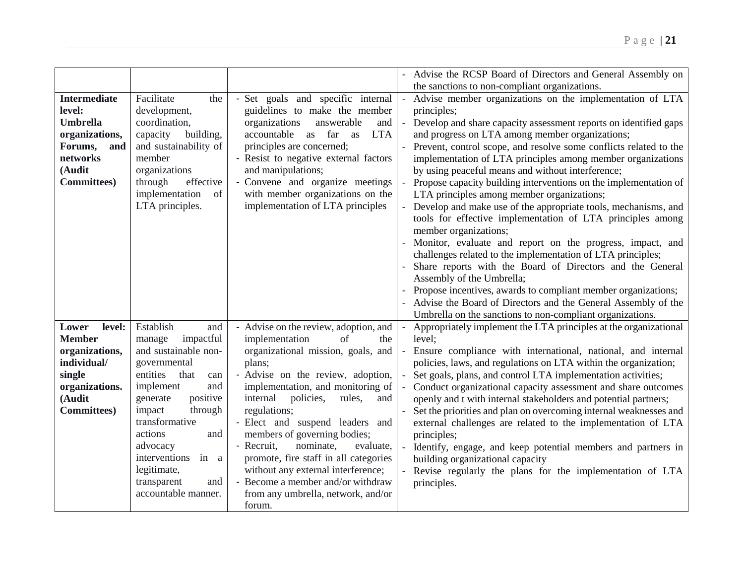|                                                                                                                                   |                                                                                                                                                                                                                                                                                                               |                                                                                                                                                                                                                                                                                                                                                                                                                                                                                                                                         | Advise the RCSP Board of Directors and General Assembly on<br>the sanctions to non-compliant organizations.                                                                                                                                                                                                                                                                                                                                                                                                                                                                                                                                                                                                                                                                                                                                                                                                                                                                                                                                                                                                         |
|-----------------------------------------------------------------------------------------------------------------------------------|---------------------------------------------------------------------------------------------------------------------------------------------------------------------------------------------------------------------------------------------------------------------------------------------------------------|-----------------------------------------------------------------------------------------------------------------------------------------------------------------------------------------------------------------------------------------------------------------------------------------------------------------------------------------------------------------------------------------------------------------------------------------------------------------------------------------------------------------------------------------|---------------------------------------------------------------------------------------------------------------------------------------------------------------------------------------------------------------------------------------------------------------------------------------------------------------------------------------------------------------------------------------------------------------------------------------------------------------------------------------------------------------------------------------------------------------------------------------------------------------------------------------------------------------------------------------------------------------------------------------------------------------------------------------------------------------------------------------------------------------------------------------------------------------------------------------------------------------------------------------------------------------------------------------------------------------------------------------------------------------------|
| <b>Intermediate</b><br>level:<br><b>Umbrella</b><br>organizations,<br>Forums,<br>and<br>networks<br>(Audit<br><b>Committees</b> ) | Facilitate<br>the<br>development,<br>coordination,<br>building,<br>capacity<br>and sustainability of<br>member<br>organizations<br>through<br>effective<br>implementation<br>of<br>LTA principles.                                                                                                            | - Set goals and specific internal<br>guidelines to make the member<br>organizations<br>answerable<br>and<br>accountable<br>as far as<br><b>LTA</b><br>principles are concerned;<br>- Resist to negative external factors<br>and manipulations;<br>- Convene and organize meetings<br>with member organizations on the<br>implementation of LTA principles                                                                                                                                                                               | Advise member organizations on the implementation of LTA<br>$\overline{\phantom{a}}$<br>principles;<br>Develop and share capacity assessment reports on identified gaps<br>and progress on LTA among member organizations;<br>Prevent, control scope, and resolve some conflicts related to the<br>implementation of LTA principles among member organizations<br>by using peaceful means and without interference;<br>Propose capacity building interventions on the implementation of<br>LTA principles among member organizations;<br>Develop and make use of the appropriate tools, mechanisms, and<br>tools for effective implementation of LTA principles among<br>member organizations;<br>Monitor, evaluate and report on the progress, impact, and<br>challenges related to the implementation of LTA principles;<br>Share reports with the Board of Directors and the General<br>Assembly of the Umbrella;<br>Propose incentives, awards to compliant member organizations;<br>Advise the Board of Directors and the General Assembly of the<br>Umbrella on the sanctions to non-compliant organizations. |
| level:<br>Lower<br><b>Member</b><br>organizations,<br>individual/<br>single<br>organizations.<br>(Audit<br><b>Committees</b> )    | Establish<br>and<br>impactful<br>manage<br>and sustainable non-<br>governmental<br>entities<br>that<br>can<br>implement<br>and<br>positive<br>generate<br>impact<br>through<br>transformative<br>actions<br>and<br>advocacy<br>interventions in a<br>legitimate,<br>transparent<br>and<br>accountable manner. | - Advise on the review, adoption, and<br>implementation<br>of<br>the<br>organizational mission, goals, and<br>plans;<br>- Advise on the review, adoption,<br>implementation, and monitoring of<br>internal<br>policies,<br>rules,<br>and<br>regulations;<br>- Elect and suspend leaders and<br>members of governing bodies;<br>- Recruit,<br>nominate,<br>evaluate,<br>promote, fire staff in all categories<br>without any external interference;<br>- Become a member and/or withdraw<br>from any umbrella, network, and/or<br>forum. | Appropriately implement the LTA principles at the organizational<br>level:<br>Ensure compliance with international, national, and internal<br>policies, laws, and regulations on LTA within the organization;<br>Set goals, plans, and control LTA implementation activities;<br>Conduct organizational capacity assessment and share outcomes<br>openly and t with internal stakeholders and potential partners;<br>Set the priorities and plan on overcoming internal weaknesses and<br>external challenges are related to the implementation of LTA<br>principles;<br>Identify, engage, and keep potential members and partners in<br>building organizational capacity<br>Revise regularly the plans for the implementation of LTA<br>principles.                                                                                                                                                                                                                                                                                                                                                                |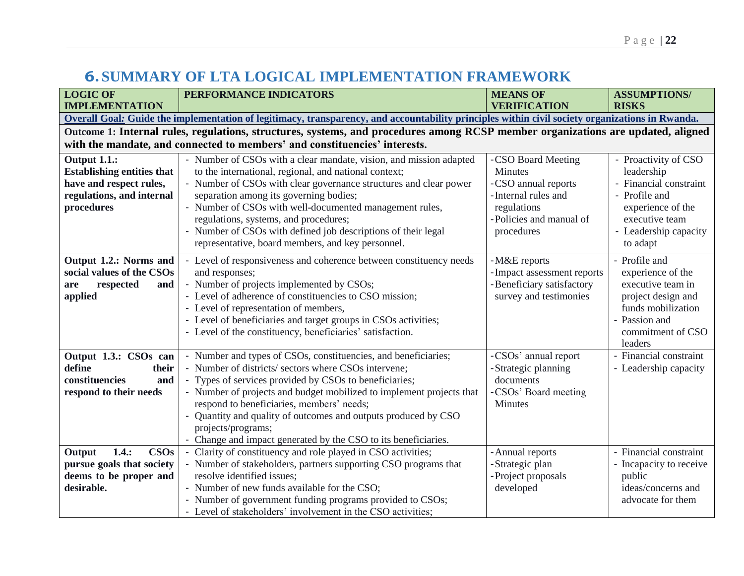## **6.SUMMARY OF LTA LOGICAL IMPLEMENTATION FRAMEWORK**

<span id="page-22-0"></span>

| <b>LOGIC OF</b>                                                                                                                                 | PERFORMANCE INDICATORS                                                                                                                                                                                                                                                                                                                                                                                                                                               | <b>MEANS OF</b>                                                                                                                     | <b>ASSUMPTIONS/</b>                                                                                                                                       |  |
|-------------------------------------------------------------------------------------------------------------------------------------------------|----------------------------------------------------------------------------------------------------------------------------------------------------------------------------------------------------------------------------------------------------------------------------------------------------------------------------------------------------------------------------------------------------------------------------------------------------------------------|-------------------------------------------------------------------------------------------------------------------------------------|-----------------------------------------------------------------------------------------------------------------------------------------------------------|--|
| <b>IMPLEMENTATION</b>                                                                                                                           |                                                                                                                                                                                                                                                                                                                                                                                                                                                                      | <b>VERIFICATION</b>                                                                                                                 | <b>RISKS</b>                                                                                                                                              |  |
| Overall Goal: Guide the implementation of legitimacy, transparency, and accountability principles within civil society organizations in Rwanda. |                                                                                                                                                                                                                                                                                                                                                                                                                                                                      |                                                                                                                                     |                                                                                                                                                           |  |
|                                                                                                                                                 | Outcome 1: Internal rules, regulations, structures, systems, and procedures among RCSP member organizations are updated, aligned                                                                                                                                                                                                                                                                                                                                     |                                                                                                                                     |                                                                                                                                                           |  |
| with the mandate, and connected to members' and constituencies' interests.                                                                      |                                                                                                                                                                                                                                                                                                                                                                                                                                                                      |                                                                                                                                     |                                                                                                                                                           |  |
| Output 1.1.:<br><b>Establishing entities that</b><br>have and respect rules,<br>regulations, and internal<br>procedures                         | - Number of CSOs with a clear mandate, vision, and mission adapted<br>to the international, regional, and national context;<br>- Number of CSOs with clear governance structures and clear power<br>separation among its governing bodies;<br>- Number of CSOs with well-documented management rules,<br>regulations, systems, and procedures;<br>- Number of CSOs with defined job descriptions of their legal<br>representative, board members, and key personnel. | -CSO Board Meeting<br>Minutes<br>-CSO annual reports<br>-Internal rules and<br>regulations<br>-Policies and manual of<br>procedures | - Proactivity of CSO<br>leadership<br>- Financial constraint<br>- Profile and<br>experience of the<br>executive team<br>- Leadership capacity<br>to adapt |  |
| Output 1.2.: Norms and<br>social values of the CSOs<br>respected<br>and<br>are<br>applied                                                       | - Level of responsiveness and coherence between constituency needs<br>and responses;<br>- Number of projects implemented by CSOs;<br>- Level of adherence of constituencies to CSO mission;<br>- Level of representation of members,<br>- Level of beneficiaries and target groups in CSOs activities;<br>- Level of the constituency, beneficiaries' satisfaction.                                                                                                  | -M&E reports<br>-Impact assessment reports<br>-Beneficiary satisfactory<br>survey and testimonies                                   | - Profile and<br>experience of the<br>executive team in<br>project design and<br>funds mobilization<br>- Passion and<br>commitment of CSO<br>leaders      |  |
| Output 1.3.: CSOs can<br>define<br>their<br>constituencies<br>and<br>respond to their needs                                                     | - Number and types of CSOs, constituencies, and beneficiaries;<br>- Number of districts/ sectors where CSOs intervene;<br>- Types of services provided by CSOs to beneficiaries;<br>- Number of projects and budget mobilized to implement projects that<br>respond to beneficiaries, members' needs;<br>- Quantity and quality of outcomes and outputs produced by CSO<br>projects/programs;<br>- Change and impact generated by the CSO to its beneficiaries.      | -CSOs' annual report<br>-Strategic planning<br>documents<br>-CSOs' Board meeting<br>Minutes                                         | - Financial constraint<br>- Leadership capacity                                                                                                           |  |
| 1.4::<br><b>CSOs</b><br>Output<br>pursue goals that society<br>deems to be proper and<br>desirable.                                             | Clarity of constituency and role played in CSO activities;<br>$\blacksquare$<br>- Number of stakeholders, partners supporting CSO programs that<br>resolve identified issues;<br>- Number of new funds available for the CSO;<br>- Number of government funding programs provided to CSOs;<br>- Level of stakeholders' involvement in the CSO activities;                                                                                                            | - Annual reports<br>-Strategic plan<br>-Project proposals<br>developed                                                              | - Financial constraint<br>- Incapacity to receive<br>public<br>ideas/concerns and<br>advocate for them                                                    |  |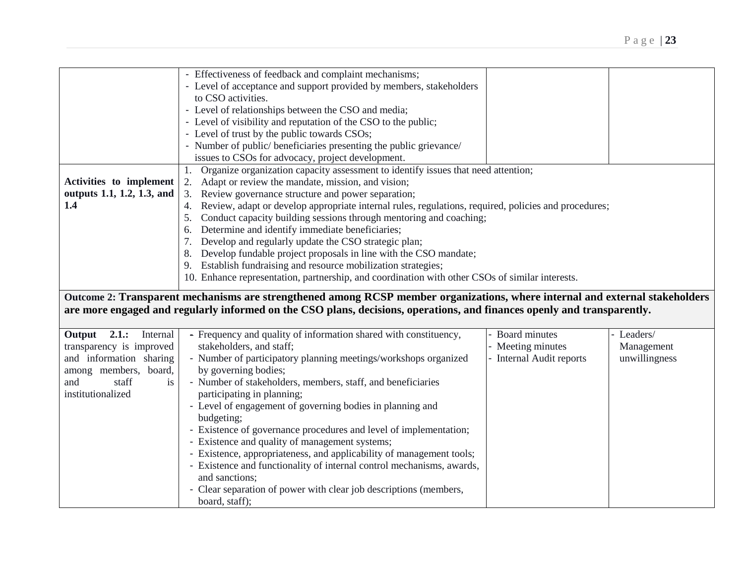|                            | - Effectiveness of feedback and complaint mechanisms;                                                                        |                          |               |
|----------------------------|------------------------------------------------------------------------------------------------------------------------------|--------------------------|---------------|
|                            | - Level of acceptance and support provided by members, stakeholders                                                          |                          |               |
|                            | to CSO activities.                                                                                                           |                          |               |
|                            |                                                                                                                              |                          |               |
|                            | - Level of relationships between the CSO and media;                                                                          |                          |               |
|                            | - Level of visibility and reputation of the CSO to the public;                                                               |                          |               |
|                            | - Level of trust by the public towards CSOs;                                                                                 |                          |               |
|                            | - Number of public/ beneficiaries presenting the public grievance/                                                           |                          |               |
|                            | issues to CSOs for advocacy, project development.                                                                            |                          |               |
|                            | Organize organization capacity assessment to identify issues that need attention;<br>1.                                      |                          |               |
| Activities to implement    | Adapt or review the mandate, mission, and vision;<br>2.                                                                      |                          |               |
| outputs 1.1, 1.2, 1.3, and | Review governance structure and power separation;<br>3.                                                                      |                          |               |
| 1.4                        | Review, adapt or develop appropriate internal rules, regulations, required, policies and procedures;<br>4.                   |                          |               |
|                            | Conduct capacity building sessions through mentoring and coaching;<br>5.                                                     |                          |               |
|                            | Determine and identify immediate beneficiaries;<br>6.                                                                        |                          |               |
|                            | Develop and regularly update the CSO strategic plan;<br>7.                                                                   |                          |               |
|                            | Develop fundable project proposals in line with the CSO mandate;<br>8.                                                       |                          |               |
|                            | 9. Establish fundraising and resource mobilization strategies;                                                               |                          |               |
|                            |                                                                                                                              |                          |               |
|                            | 10. Enhance representation, partnership, and coordination with other CSOs of similar interests.                              |                          |               |
|                            | Outcome 2: Transparent mechanisms are strengthened among RCSP member organizations, where internal and external stakeholders |                          |               |
|                            | are more engaged and regularly informed on the CSO plans, decisions, operations, and finances openly and transparently.      |                          |               |
|                            |                                                                                                                              |                          |               |
|                            |                                                                                                                              |                          |               |
|                            |                                                                                                                              |                          |               |
| Output 2.1.: Internal      | - Frequency and quality of information shared with constituency,                                                             | <b>Board minutes</b>     | Leaders/      |
| transparency is improved   | stakeholders, and staff;                                                                                                     | - Meeting minutes        | Management    |
| and information sharing    | - Number of participatory planning meetings/workshops organized                                                              | - Internal Audit reports | unwillingness |
| among members, board,      | by governing bodies;                                                                                                         |                          |               |
| staff<br>and<br>is         | - Number of stakeholders, members, staff, and beneficiaries                                                                  |                          |               |
| institutionalized          | participating in planning;                                                                                                   |                          |               |
|                            | - Level of engagement of governing bodies in planning and                                                                    |                          |               |
|                            | budgeting;                                                                                                                   |                          |               |
|                            | - Existence of governance procedures and level of implementation;                                                            |                          |               |
|                            | - Existence and quality of management systems;                                                                               |                          |               |
|                            | - Existence, appropriateness, and applicability of management tools;                                                         |                          |               |
|                            | - Existence and functionality of internal control mechanisms, awards,                                                        |                          |               |
|                            | and sanctions;                                                                                                               |                          |               |
|                            | - Clear separation of power with clear job descriptions (members,                                                            |                          |               |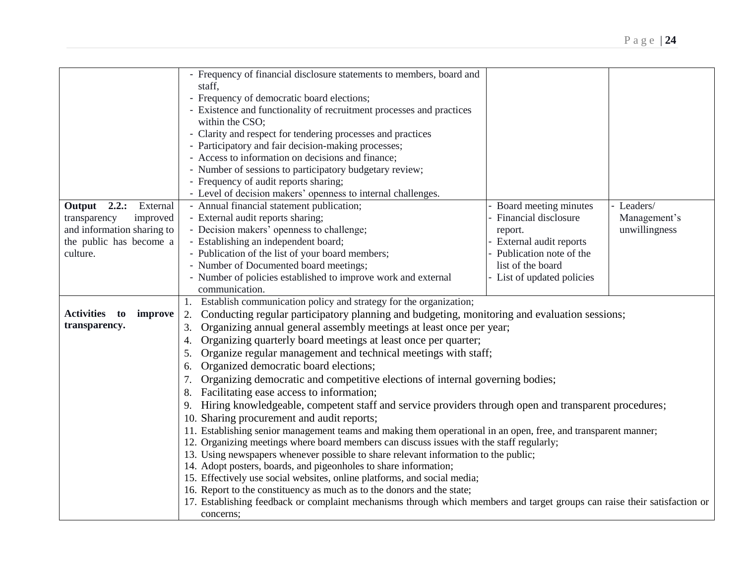|                             | - Frequency of financial disclosure statements to members, board and                                                                                                                                       |                            |               |
|-----------------------------|------------------------------------------------------------------------------------------------------------------------------------------------------------------------------------------------------------|----------------------------|---------------|
|                             | staff,                                                                                                                                                                                                     |                            |               |
|                             | - Frequency of democratic board elections;                                                                                                                                                                 |                            |               |
|                             | - Existence and functionality of recruitment processes and practices                                                                                                                                       |                            |               |
|                             | within the CSO;                                                                                                                                                                                            |                            |               |
|                             |                                                                                                                                                                                                            |                            |               |
|                             | - Clarity and respect for tendering processes and practices                                                                                                                                                |                            |               |
|                             | - Participatory and fair decision-making processes;                                                                                                                                                        |                            |               |
|                             | - Access to information on decisions and finance;                                                                                                                                                          |                            |               |
|                             | - Number of sessions to participatory budgetary review;                                                                                                                                                    |                            |               |
|                             | - Frequency of audit reports sharing;                                                                                                                                                                      |                            |               |
|                             | - Level of decision makers' openness to internal challenges.                                                                                                                                               |                            |               |
| Output $2.2$ .:<br>External | - Annual financial statement publication;                                                                                                                                                                  | - Board meeting minutes    | - Leaders/    |
| transparency<br>improved    | - External audit reports sharing;                                                                                                                                                                          | - Financial disclosure     | Management's  |
| and information sharing to  | - Decision makers' openness to challenge;                                                                                                                                                                  | report.                    | unwillingness |
| the public has become a     | - Establishing an independent board;                                                                                                                                                                       | - External audit reports   |               |
| culture.                    | - Publication of the list of your board members;                                                                                                                                                           | - Publication note of the  |               |
|                             | - Number of Documented board meetings;                                                                                                                                                                     | list of the board          |               |
|                             | - Number of policies established to improve work and external                                                                                                                                              | - List of updated policies |               |
|                             | communication.                                                                                                                                                                                             |                            |               |
|                             | 1. Establish communication policy and strategy for the organization;                                                                                                                                       |                            |               |
| Activities to<br>improve    | Conducting regular participatory planning and budgeting, monitoring and evaluation sessions;<br>2.                                                                                                         |                            |               |
| transparency.               | Organizing annual general assembly meetings at least once per year;<br>3.                                                                                                                                  |                            |               |
|                             | Organizing quarterly board meetings at least once per quarter;<br>4.                                                                                                                                       |                            |               |
|                             | Organize regular management and technical meetings with staff;<br>5.                                                                                                                                       |                            |               |
|                             | Organized democratic board elections;<br>6.                                                                                                                                                                |                            |               |
|                             | Organizing democratic and competitive elections of internal governing bodies;<br>7.                                                                                                                        |                            |               |
|                             | Facilitating ease access to information;<br>8.                                                                                                                                                             |                            |               |
|                             | Hiring knowledgeable, competent staff and service providers through open and transparent procedures;<br>9.                                                                                                 |                            |               |
|                             | 10. Sharing procurement and audit reports;                                                                                                                                                                 |                            |               |
|                             |                                                                                                                                                                                                            |                            |               |
|                             | 11. Establishing senior management teams and making them operational in an open, free, and transparent manner;<br>12. Organizing meetings where board members can discuss issues with the staff regularly; |                            |               |
|                             |                                                                                                                                                                                                            |                            |               |
|                             | 13. Using newspapers whenever possible to share relevant information to the public;                                                                                                                        |                            |               |
|                             | 14. Adopt posters, boards, and pigeonholes to share information;<br>15. Effectively use social websites, online platforms, and social media;                                                               |                            |               |
|                             | 16. Report to the constituency as much as to the donors and the state;                                                                                                                                     |                            |               |
|                             | 17. Establishing feedback or complaint mechanisms through which members and target groups can raise their satisfaction or                                                                                  |                            |               |
|                             |                                                                                                                                                                                                            |                            |               |
|                             | concerns;                                                                                                                                                                                                  |                            |               |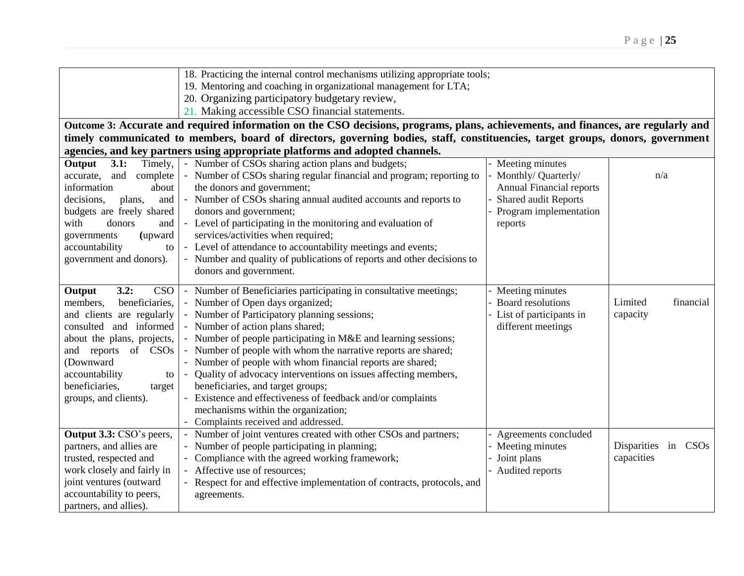|                              | 18. Practicing the internal control mechanisms utilizing appropriate tools;                                                       |                                 |                      |  |
|------------------------------|-----------------------------------------------------------------------------------------------------------------------------------|---------------------------------|----------------------|--|
|                              | 19. Mentoring and coaching in organizational management for LTA;                                                                  |                                 |                      |  |
|                              | 20. Organizing participatory budgetary review,                                                                                    |                                 |                      |  |
|                              | 21. Making accessible CSO financial statements.                                                                                   |                                 |                      |  |
|                              | Outcome 3: Accurate and required information on the CSO decisions, programs, plans, achievements, and finances, are regularly and |                                 |                      |  |
|                              | timely communicated to members, board of directors, governing bodies, staff, constituencies, target groups, donors, government    |                                 |                      |  |
|                              | agencies, and key partners using appropriate platforms and adopted channels.                                                      |                                 |                      |  |
| 3.1:<br>Output<br>Timely,    | - Number of CSOs sharing action plans and budgets;                                                                                | Meeting minutes                 |                      |  |
| accurate,<br>and<br>complete | - Number of CSOs sharing regular financial and program; reporting to                                                              | Monthly/ Quarterly/             | n/a                  |  |
| information<br>about         | the donors and government;                                                                                                        | <b>Annual Financial reports</b> |                      |  |
| decisions,<br>plans,<br>and  | - Number of CSOs sharing annual audited accounts and reports to                                                                   | Shared audit Reports            |                      |  |
| budgets are freely shared    | donors and government;                                                                                                            | Program implementation          |                      |  |
| with<br>donors<br>and        | - Level of participating in the monitoring and evaluation of                                                                      | reports                         |                      |  |
| (upward<br>governments       | services/activities when required;                                                                                                |                                 |                      |  |
| accountability<br>to         | - Level of attendance to accountability meetings and events;                                                                      |                                 |                      |  |
| government and donors).      | - Number and quality of publications of reports and other decisions to                                                            |                                 |                      |  |
|                              | donors and government.                                                                                                            |                                 |                      |  |
| 3.2:<br>CSO<br>Output        | Number of Beneficiaries participating in consultative meetings;<br>$\blacksquare$                                                 | Meeting minutes                 |                      |  |
| beneficiaries,<br>members,   | Number of Open days organized;                                                                                                    | Board resolutions               | Limited<br>financial |  |
| and clients are regularly    | - Number of Participatory planning sessions;                                                                                      | List of participants in         | capacity             |  |
| consulted and informed       | - Number of action plans shared;                                                                                                  | different meetings              |                      |  |
| about the plans, projects,   | - Number of people participating in M&E and learning sessions;                                                                    |                                 |                      |  |
| and reports of CSOs          | Number of people with whom the narrative reports are shared;                                                                      |                                 |                      |  |
| (Downward                    | - Number of people with whom financial reports are shared;                                                                        |                                 |                      |  |
| accountability<br>to         | Quality of advocacy interventions on issues affecting members,                                                                    |                                 |                      |  |
| beneficiaries,<br>target     | beneficiaries, and target groups;                                                                                                 |                                 |                      |  |
| groups, and clients).        | Existence and effectiveness of feedback and/or complaints                                                                         |                                 |                      |  |
|                              | mechanisms within the organization;                                                                                               |                                 |                      |  |
|                              | Complaints received and addressed.                                                                                                |                                 |                      |  |
| Output 3.3: CSO's peers,     | Number of joint ventures created with other CSOs and partners;                                                                    | Agreements concluded            |                      |  |
| partners, and allies are     | Number of people participating in planning;                                                                                       | Meeting minutes                 | Disparities in CSOs  |  |
| trusted, respected and       | Compliance with the agreed working framework;                                                                                     | Joint plans                     | capacities           |  |
| work closely and fairly in   | - Affective use of resources;                                                                                                     | Audited reports                 |                      |  |
| joint ventures (outward      | Respect for and effective implementation of contracts, protocols, and                                                             |                                 |                      |  |
| accountability to peers,     | agreements.                                                                                                                       |                                 |                      |  |
| partners, and allies).       |                                                                                                                                   |                                 |                      |  |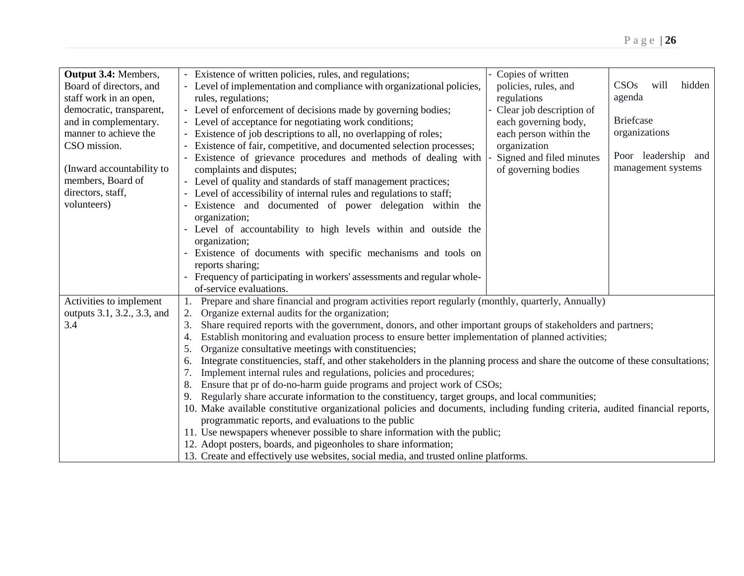| Output 3.4: Members,        | - Existence of written policies, rules, and regulations;                                                                            | Copies of written        |                        |  |
|-----------------------------|-------------------------------------------------------------------------------------------------------------------------------------|--------------------------|------------------------|--|
| Board of directors, and     | - Level of implementation and compliance with organizational policies,                                                              | policies, rules, and     | hidden<br>CSOs<br>will |  |
| staff work in an open,      | rules, regulations;                                                                                                                 | regulations              | agenda                 |  |
| democratic, transparent,    | - Level of enforcement of decisions made by governing bodies;                                                                       | Clear job description of |                        |  |
| and in complementary.       | - Level of acceptance for negotiating work conditions;                                                                              | each governing body,     | <b>Briefcase</b>       |  |
| manner to achieve the       | - Existence of job descriptions to all, no overlapping of roles;                                                                    | each person within the   | organizations          |  |
| CSO mission.                | Existence of fair, competitive, and documented selection processes;                                                                 | organization             |                        |  |
|                             | Existence of grievance procedures and methods of dealing with                                                                       | Signed and filed minutes | Poor leadership and    |  |
| (Inward accountability to   | complaints and disputes;                                                                                                            | of governing bodies      | management systems     |  |
| members, Board of           | - Level of quality and standards of staff management practices;                                                                     |                          |                        |  |
| directors, staff,           | - Level of accessibility of internal rules and regulations to staff;                                                                |                          |                        |  |
| volunteers)                 | - Existence and documented of power delegation within the                                                                           |                          |                        |  |
|                             | organization;                                                                                                                       |                          |                        |  |
|                             | - Level of accountability to high levels within and outside the                                                                     |                          |                        |  |
|                             | organization;                                                                                                                       |                          |                        |  |
|                             | Existence of documents with specific mechanisms and tools on                                                                        |                          |                        |  |
|                             |                                                                                                                                     |                          |                        |  |
|                             | reports sharing;                                                                                                                    |                          |                        |  |
|                             | - Frequency of participating in workers' assessments and regular whole-                                                             |                          |                        |  |
|                             | of-service evaluations.                                                                                                             |                          |                        |  |
| Activities to implement     | 1. Prepare and share financial and program activities report regularly (monthly, quarterly, Annually)                               |                          |                        |  |
| outputs 3.1, 3.2., 3.3, and | Organize external audits for the organization;<br>2.                                                                                |                          |                        |  |
| 3.4                         | Share required reports with the government, donors, and other important groups of stakeholders and partners;<br>3.                  |                          |                        |  |
|                             | Establish monitoring and evaluation process to ensure better implementation of planned activities;<br>4.                            |                          |                        |  |
|                             | Organize consultative meetings with constituencies;<br>5.                                                                           |                          |                        |  |
|                             | Integrate constituencies, staff, and other stakeholders in the planning process and share the outcome of these consultations;<br>6. |                          |                        |  |
|                             | Implement internal rules and regulations, policies and procedures;                                                                  |                          |                        |  |
|                             | Ensure that pr of do-no-harm guide programs and project work of CSOs;<br>8.                                                         |                          |                        |  |
|                             | Regularly share accurate information to the constituency, target groups, and local communities;<br>9.                               |                          |                        |  |
|                             | 10. Make available constitutive organizational policies and documents, including funding criteria, audited financial reports,       |                          |                        |  |
|                             | programmatic reports, and evaluations to the public                                                                                 |                          |                        |  |
|                             | 11. Use newspapers whenever possible to share information with the public;                                                          |                          |                        |  |
|                             | 12. Adopt posters, boards, and pigeonholes to share information;                                                                    |                          |                        |  |
|                             | 13. Create and effectively use websites, social media, and trusted online platforms.                                                |                          |                        |  |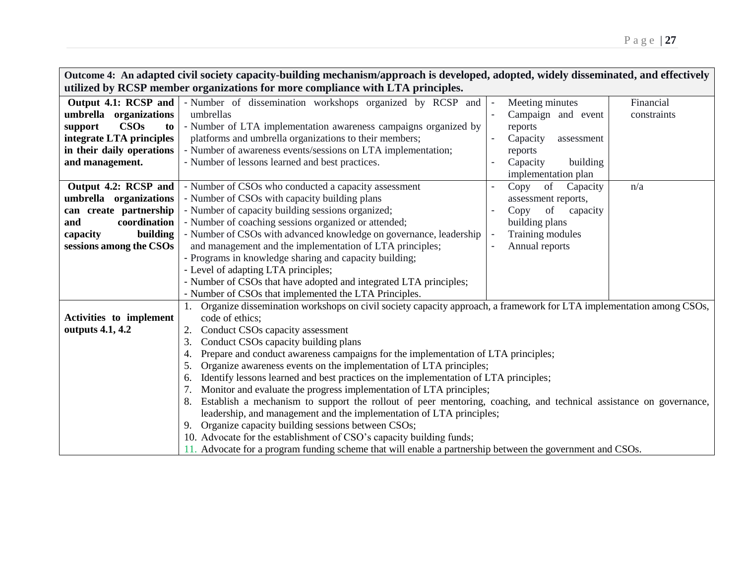| Outcome 4: An adapted civil society capacity-building mechanism/approach is developed, adopted, widely disseminated, and effectively |                                                                                                                         |                                   |  |  |  |
|--------------------------------------------------------------------------------------------------------------------------------------|-------------------------------------------------------------------------------------------------------------------------|-----------------------------------|--|--|--|
| utilized by RCSP member organizations for more compliance with LTA principles.                                                       |                                                                                                                         |                                   |  |  |  |
| Output 4.1: RCSP and                                                                                                                 | - Number of dissemination workshops organized by RCSP and                                                               | Meeting minutes<br>Financial      |  |  |  |
| umbrella organizations                                                                                                               | umbrellas                                                                                                               | Campaign and event<br>constraints |  |  |  |
| <b>CSOs</b><br>support<br>to                                                                                                         | - Number of LTA implementation awareness campaigns organized by                                                         | reports                           |  |  |  |
| integrate LTA principles                                                                                                             | platforms and umbrella organizations to their members;                                                                  | Capacity<br>assessment            |  |  |  |
| in their daily operations                                                                                                            | - Number of awareness events/sessions on LTA implementation;                                                            | reports                           |  |  |  |
| and management.                                                                                                                      | - Number of lessons learned and best practices.                                                                         | building<br>Capacity              |  |  |  |
|                                                                                                                                      |                                                                                                                         | implementation plan               |  |  |  |
| Output 4.2: RCSP and                                                                                                                 | - Number of CSOs who conducted a capacity assessment                                                                    | of<br>Copy<br>Capacity<br>n/a     |  |  |  |
| umbrella organizations                                                                                                               | - Number of CSOs with capacity building plans                                                                           | assessment reports,               |  |  |  |
| can create partnership                                                                                                               | - Number of capacity building sessions organized;                                                                       | Copy<br>of<br>capacity            |  |  |  |
| coordination<br>and                                                                                                                  | - Number of coaching sessions organized or attended;                                                                    | building plans                    |  |  |  |
| building<br>capacity                                                                                                                 | - Number of CSOs with advanced knowledge on governance, leadership                                                      | Training modules                  |  |  |  |
| sessions among the CSOs                                                                                                              | and management and the implementation of LTA principles;                                                                | Annual reports                    |  |  |  |
|                                                                                                                                      | - Programs in knowledge sharing and capacity building;                                                                  |                                   |  |  |  |
|                                                                                                                                      | - Level of adapting LTA principles;                                                                                     |                                   |  |  |  |
|                                                                                                                                      | - Number of CSOs that have adopted and integrated LTA principles;                                                       |                                   |  |  |  |
|                                                                                                                                      | - Number of CSOs that implemented the LTA Principles.                                                                   |                                   |  |  |  |
|                                                                                                                                      | 1. Organize dissemination workshops on civil society capacity approach, a framework for LTA implementation among CSOs,  |                                   |  |  |  |
| Activities to implement                                                                                                              | code of ethics:                                                                                                         |                                   |  |  |  |
| outputs 4.1, 4.2                                                                                                                     | Conduct CSOs capacity assessment<br>2.                                                                                  |                                   |  |  |  |
|                                                                                                                                      | Conduct CSOs capacity building plans<br>3.                                                                              |                                   |  |  |  |
|                                                                                                                                      | Prepare and conduct awareness campaigns for the implementation of LTA principles;<br>4.                                 |                                   |  |  |  |
|                                                                                                                                      | Organize awareness events on the implementation of LTA principles;<br>5.                                                |                                   |  |  |  |
|                                                                                                                                      | Identify lessons learned and best practices on the implementation of LTA principles;<br>6.                              |                                   |  |  |  |
|                                                                                                                                      | Monitor and evaluate the progress implementation of LTA principles;<br>7.                                               |                                   |  |  |  |
|                                                                                                                                      | Establish a mechanism to support the rollout of peer mentoring, coaching, and technical assistance on governance,<br>8. |                                   |  |  |  |
|                                                                                                                                      | leadership, and management and the implementation of LTA principles;                                                    |                                   |  |  |  |
|                                                                                                                                      | Organize capacity building sessions between CSOs;<br>9.                                                                 |                                   |  |  |  |
|                                                                                                                                      | 10. Advocate for the establishment of CSO's capacity building funds;                                                    |                                   |  |  |  |
|                                                                                                                                      | 11. Advocate for a program funding scheme that will enable a partnership between the government and CSOs.               |                                   |  |  |  |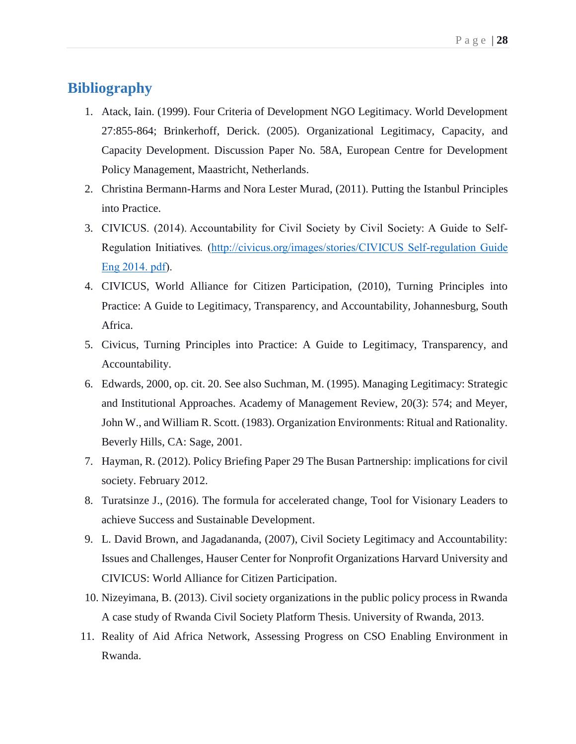## <span id="page-28-0"></span>**Bibliography**

- 1. Atack, Iain. (1999). Four Criteria of Development NGO Legitimacy. World Development 27:855-864; Brinkerhoff, Derick. (2005). Organizational Legitimacy, Capacity, and Capacity Development. Discussion Paper No. 58A, European Centre for Development Policy Management, Maastricht, Netherlands.
- 2. Christina Bermann-Harms and Nora Lester Murad, (2011). Putting the Istanbul Principles into Practice.
- 3. CIVICUS. (2014). Accountability for Civil Society by Civil Society: A Guide to Self-Regulation Initiatives*.* [\(http://civicus.org/images/stories/CIVICUS Self-regulation Guide](http://civicus.org/images/stories/CIVICUS%20Self-regulation%20Guide%20Eng%202014.pdf)  [Eng 2014.](http://civicus.org/images/stories/CIVICUS%20Self-regulation%20Guide%20Eng%202014.pdf) pdf).
- 4. CIVICUS, World Alliance for Citizen Participation, (2010), Turning Principles into Practice: A Guide to Legitimacy, Transparency, and Accountability, Johannesburg, South Africa.
- 5. Civicus, Turning Principles into Practice: A Guide to Legitimacy, Transparency, and Accountability.
- 6. Edwards, 2000, op. cit. 20. See also Suchman, M. (1995). Managing Legitimacy: Strategic and Institutional Approaches. Academy of Management Review, 20(3): 574; and Meyer, John W., and William R. Scott. (1983). Organization Environments: Ritual and Rationality. Beverly Hills, CA: Sage, 2001.
- 7. Hayman, R. (2012). Policy Briefing Paper 29 The Busan Partnership: implications for civil society. February 2012.
- 8. Turatsinze J., (2016). The formula for accelerated change, Tool for Visionary Leaders to achieve Success and Sustainable Development.
- 9. L. David Brown, and Jagadananda, (2007), Civil Society Legitimacy and Accountability: Issues and Challenges, Hauser Center for Nonprofit Organizations Harvard University and CIVICUS: World Alliance for Citizen Participation.
- 10. Nizeyimana, B. (2013). Civil society organizations in the public policy process in Rwanda A case study of Rwanda Civil Society Platform Thesis. University of Rwanda, 2013.
- 11. Reality of Aid Africa Network, Assessing Progress on CSO Enabling Environment in Rwanda.